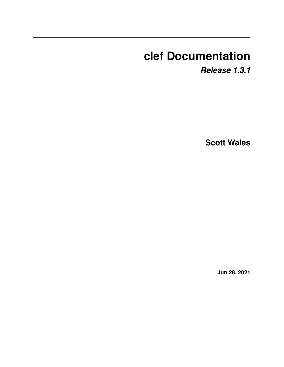# **clef Documentation**

*Release 1.3.1*

**Scott Wales**

**Jun 28, 2021**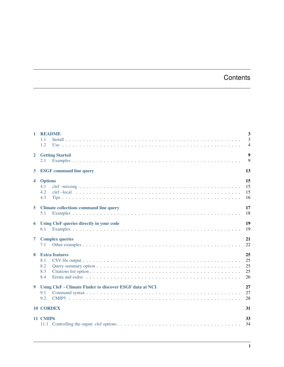# **Contents**

| $\mathbf{1}$         | <b>README</b><br>1.1<br>1.2                                                   | $\overline{\mathbf{3}}$<br>3<br>$\overline{4}$ |
|----------------------|-------------------------------------------------------------------------------|------------------------------------------------|
| $\overline{2}$       | <b>Getting Started</b><br>2.1                                                 | $\overline{9}$<br>9                            |
| $\mathbf{3}$         | <b>ESGF</b> command line query                                                | 13                                             |
| $\blacktriangleleft$ | <b>Options</b><br>4.1<br>4.2<br>4.3                                           | 15<br>15<br>15<br>16                           |
| 5                    | <b>Climate collections command line query</b><br>5.1                          | 17<br>18                                       |
| 6                    | Using CleF queries directly in your code<br>6.1                               | 19<br>19                                       |
| $\overline{7}$       | <b>Complex queries</b><br>7.1                                                 | 21<br>22                                       |
| 8                    | <b>Extra features</b><br>8.1<br>8.2<br>8.3<br>8.4                             | 25<br>25<br>25<br>25<br>26                     |
| 9                    | <b>Using CleF - Climate Finder to discover ESGF data at NCI</b><br>9.1<br>9.2 | 27<br>27<br>28                                 |
|                      | <b>10 CORDEX</b>                                                              | 31                                             |
|                      | <b>11 CMIP6</b>                                                               | 33<br>34                                       |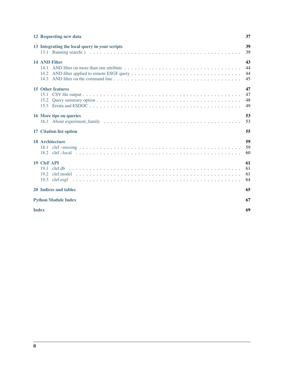| 12 Requesting new data                         | 37                   |
|------------------------------------------------|----------------------|
| 13 Integrating the local query in your scripts | 39<br>39             |
| 14 AND Filter<br>14 1<br>14.2<br>14.3          | 43<br>44<br>44<br>45 |
| <b>15 Other features</b><br>15.2<br>15.3       | 47<br>47<br>48<br>49 |
| 16 More tips on queries                        | 53<br>53             |
| 17 Citation list option                        | 55                   |
| <b>18 Architecture</b>                         | 59<br>59<br>60       |
| <b>19 CleF API</b><br>191<br>clef.db<br>19.2   | 61<br>61<br>61<br>64 |
| <b>20 Indices and tables</b>                   | 65                   |
| <b>Python Module Index</b>                     | 67                   |
| <b>Index</b>                                   | 69                   |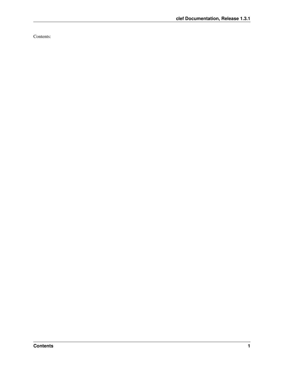Contents: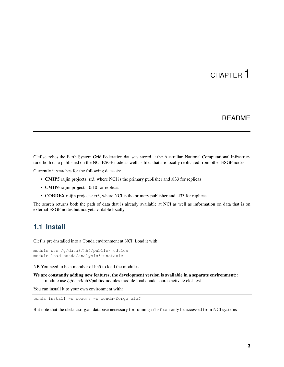# README

<span id="page-6-0"></span>Clef searches the Earth System Grid Federation datasets stored at the Australian National Computational Infrastructure, both data published on the NCI ESGF node as well as files that are locally replicated from other ESGF nodes.

Currently it searches for the following datasets:

- CMIP5 raijin projects: rr3, where NCI is the primary publisher and al33 for replicas
- **CMIP6** raijin projects: 0i10 for replicas
- CORDEX raijin projects: rr3, where NCI is the primary publisher and al33 for replicas

The search returns both the path of data that is already available at NCI as well as information on data that is on external ESGF nodes but not yet available locally.

### <span id="page-6-1"></span>**1.1 Install**

Clef is pre-installed into a Conda environment at NCI. Load it with:

```
module use /g/data3/hh5/public/modules
module load conda/analysis3-unstable
```
NB You need to be a member of hh5 to load the modules

```
We are constantly adding new features, the development version is available in a separate environment::
     module use /g/data3/hh5/public/modules module load conda source activate clef-test
```
You can install it to your own environment with:

```
conda install -c coecms -c conda-forge clef
```
But note that the clef.nci.org.au database necessary for running clef can only be accessed from NCI systems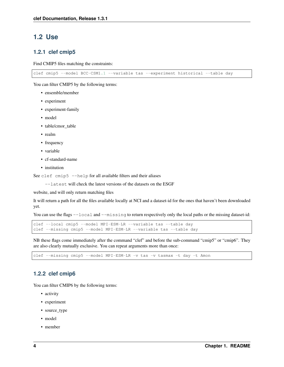## <span id="page-7-0"></span>**1.2 Use**

### **1.2.1 clef cmip5**

Find CMIP5 files matching the constraints:

clef cmip5 --model BCC-CSM1.1 --variable tas --experiment historical --table day

You can filter CMIP5 by the following terms:

- ensemble/member
- experiment
- experiment-family
- model
- table/cmor\_table
- realm
- frequency
- variable
- cf-standard-name
- institution

See clef cmip5 --help for all available filters and their aliases

--latest will check the latest versions of the datasets on the ESGF

website, and will only return matching files

It will return a path for all the files available locally at NCI and a dataset-id for the ones that haven't been downloaded yet.

You can use the flags  $-\text{local}$  and  $-\text{missing}$  to return respectively only the local paths or the missing dataset-id:

```
clef --local cmip5 --model MPI-ESM-LR --variable tas --table day
clef --missing cmip5 --model MPI-ESM-LR --variable tas --table day
```
NB these flags come immediately after the command "clef" and before the sub-command "cmip5" or "cmip6". They are also clearly mutually exclusive. You can repeat arguments more than once:

clef --missing cmip5 --model MPI-ESM-LR -v tas -v tasmax -t day -t Amon

### **1.2.2 clef cmip6**

You can filter CMIP6 by the following terms:

- activity
- experiment
- source\_type
- model
- member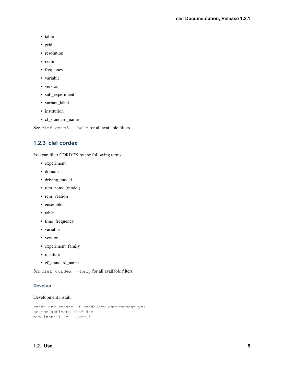- table
- grid
- resolution
- realm
- frequency
- variable
- version
- sub\_experiment
- variant\_label
- institution
- cf\_standard\_name

See clef cmip6 --help for all available filters

### **1.2.3 clef cordex**

You can filter CORDEX by the following terms:

- experiment
- domain
- driving\_model
- rcm\_name (model)
- rcm\_version
- ensemble
- table
- time\_frequency
- variable
- version
- experiment\_family
- institute
- cf\_standard\_name

See clef cordex --help for all available filters

#### **Develop**

#### Development install:

```
conda env create -f conda/dev-environment.yml
source activate clef-dev
pip install -e '.[dev]'
```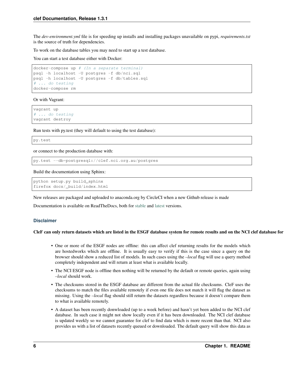The *dev-environment.yml* file is for speeding up installs and installing packages unavailable on pypi, *requirements.txt* is the source of truth for dependencies.

To work on the database tables you may need to start up a test database.

You can start a test database either with Docker:

```
docker-compose up # (In a separate terminal)
psql -h localhost -U postgres -f db/nci.sql
psql -h localhost -U postgres -f db/tables.sql
# ... do testing
docker-compose rm
```
Or with Vagrant:

vagrant up # ... do testing vagrant destroy

Run tests with py.test (they will default to using the test database):

py.test

or connect to the production database with:

py.test --db=postgresql://clef.nci.org.au/postgres

Build the documentation using Sphinx:

python setup.py build\_sphinx firefox docs/\_build/index.html

New releases are packaged and uploaded to anaconda.org by CircleCI when a new Github release is made

Documentation is available on ReadTheDocs, both for [stable](https://clef.readthedocs.io/en/stable/) and [latest](https://clef.readthedocs.io/en/latest/) versions.

#### **Disclaimer**

#### CleF can only return datasets which are listed in the ESGF database system for remote results and on the NCI clef database for

- One or more of the ESGF nodes are offline: this can affect clef returning results for the models which are hostedworks which are offline. It is usually easy to verify if this is the case since a query on the browser should show a reduced list of models. In such cases using the *–local* flag will use a query method completely independent and will return at least what is available locally.
- The NCI ESGF node is offline then nothing will be returned by the default or remote queries, again using *–local* should work.
- The checksums stored in the ESGF database are different from the actual file checksums. CleF uses the checksums to match the files available remotely if even one file does not match it will flag the dataset as missing. Using the *–local* flag should still return the datasets regardless because it doesn't compare them to what is available remotely.
- A dataset has been recently donwloaded (up to a week before) and hasn't yet been added to the NCI clef database. In such case it might not show locally even if it has been downloaded. The NCI clef database is updated weekly so we cannot guarantee for clef to find data which is more recent than that. NCI also provides us with a list of datasets recently queued or downloaded. The default query will show this data as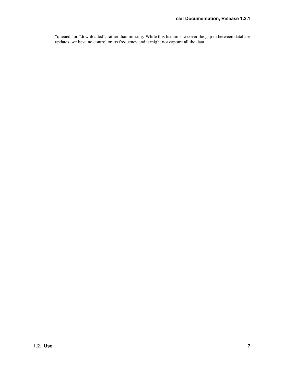"queued" or "downloaded", rather than missing. While this list aims to cover the gap in between database updates, we have no control on its frequency and it might not capture all the data.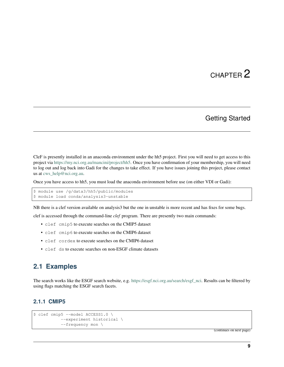# Getting Started

<span id="page-12-0"></span>CleF is presently installed in an anaconda environment under the hh5 project. First you will need to get access to this project via [https://my.nci.org.au/mancini/project/hh5.](https://my.nci.org.au/mancini/project/hh5) Once you have confirmation of your membership, you will need to log out and log back into Gadi for the changes to take effect. If you have issues joining this project, please contact us at [cws\\_help@nci.org.au.](mailto:cws_help@nci.org.au)

Once you have access to hh5, you must load the anaconda environment before use (on either VDI or Gadi):

```
$ module use /g/data3/hh5/public/modules
$ module load conda/analysis3-unstable
```
NB there is a clef version available on analysis3 but the one in unstable is more recent and has fixes for some bugs.

clef is accessed through the command-line *clef* program. There are presently two main commands:

- clef cmip5 to execute searches on the CMIP5 dataset
- clef cmip6 to execute searches on the CMIP6 dataset
- clef cordex to execute searches on the CMIP6 dataset
- clef ds to execute searches on non-ESGF climate datasets

### <span id="page-12-1"></span>**2.1 Examples**

The search works like the ESGF search website, e.g. [https://esgf.nci.org.au/search/esgf\\_nci.](https://esgf.nci.org.au/search/esgf_nci) Results can be filtered by using flags matching the ESGF search facets.

### **2.1.1 CMIP5**

```
$ clef cmip5 --model ACCESS1.0 \
           --experiment historical \
           --frequency mon \
```
(continues on next page)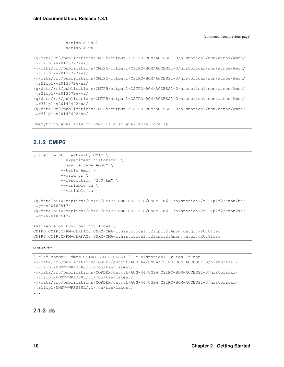```
--variable ua \
           --variable va
/g/data/rr3/publications/CMIP5/output1/CSIRO-BOM/ACCESS1-0/historical/mon/atmos/Amon/
˓→r1i1p1/v20120727/ua/
/g/data/rr3/publications/CMIP5/output1/CSIRO-BOM/ACCESS1-0/historical/mon/atmos/Amon/
˓→r1i1p1/v20120727/va/
/g/data/rr3/publications/CMIP5/output1/CSIRO-BOM/ACCESS1-0/historical/mon/atmos/Amon/
˓→r2i1p1/v20130726/ua/
/g/data/rr3/publications/CMIP5/output1/CSIRO-BOM/ACCESS1-0/historical/mon/atmos/Amon/
˓→r2i1p1/v20130726/va/
/g/data/rr3/publications/CMIP5/output1/CSIRO-BOM/ACCESS1-0/historical/mon/atmos/Amon/
˓→r3i1p1/v20140402/ua/
/g/data/rr3/publications/CMIP5/output1/CSIRO-BOM/ACCESS1-0/historical/mon/atmos/Amon/
˓→r3i1p1/v20140402/va/
Everything available on ESGF is also available locally
```
### **2.1.2 CMIP6**

```
$ clef cmip6 --activity CMIP \
           --experiment historical \
           --source_type AOGCM \
           --table Amon \
           --grid gr \
           --resolution "250 km" \
           --variable ua \
           --variable va
/g/data/oi10/replicas/CMIP6/CMIP/CNRM-CERFACS/CNRM-CM6-1/historical/r1i1p1f2/Amon/ua/
˓→gr/v20180917/
/g/data/oi10/replicas/CMIP6/CMIP/CNRM-CERFACS/CNRM-CM6-1/historical/r1i1p1f2/Amon/va/
˓→gr/v20180917/
Available on ESGF but not locally:
CMIP6.CMIP.CNRM-CERFACS.CNRM-CM6-1.historical.r2i1p1f2.Amon.ua.gr.v20181126
CMIP6.CMIP.CNRM-CERFACS.CNRM-CM6-1.historical.r2i1p1f2.Amon.va.gr.v20181126
```
#### cordex ++

```
$ clef cordex -dmod CSIRO-BOM-ACCESS1-3 -e historical -v tas -f mon
/g/data/rr3/publications/CORDEX/output/AUS-44/UNSW/CSIRO-BOM-ACCESS1-3/historical/
˓→r1i1p1/UNSW-WRF360J/v1/mon/tas/latest/
/g/data/rr3/publications/CORDEX/output/AUS-44/UNSW/CSIRO-BOM-ACCESS1-3/historical/
˓→r1i1p1/UNSW-WRF360K/v1/mon/tas/latest/
/g/data/rr3/publications/CORDEX/output/AUS-44/UNSW/CSIRO-BOM-ACCESS1-3/historical/
˓→r1i1p1/UNSW-WRF360L/v1/mon/tas/latest/
...
```
### **2.1.3 ds**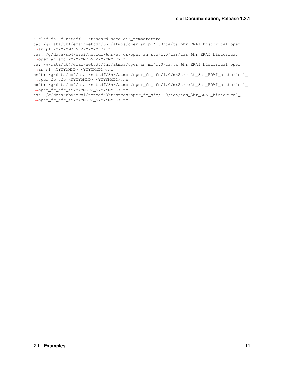\$ clef ds -f netcdf --standard-name air\_temperature ta: /g/data/ub4/erai/netcdf/6hr/atmos/oper\_an\_pl/1.0/ta/ta\_6hr\_ERAI\_historical\_oper\_ ˓<sup>→</sup>an\_pl\_<YYYYMMDD>\_<YYYYMMDD>.nc tas: /g/data/ub4/erai/netcdf/6hr/atmos/oper\_an\_sfc/1.0/tas/tas\_6hr\_ERAI\_historical\_ ˓<sup>→</sup>oper\_an\_sfc\_<YYYYMMDD>\_<YYYYMMDD>.nc ta: /g/data/ub4/erai/netcdf/6hr/atmos/oper\_an\_ml/1.0/ta/ta\_6hr\_ERAI\_historical\_oper\_ ˓<sup>→</sup>an\_ml\_<YYYYMMDD>\_<YYYYMMDD>.nc

mn2t: /g/data/ub4/erai/netcdf/3hr/atmos/oper\_fc\_sfc/1.0/mn2t/mn2t\_3hr\_ERAI\_historical\_ ˓<sup>→</sup>oper\_fc\_sfc\_<YYYYMMDD>\_<YYYYMMDD>.nc

mx2t: /g/data/ub4/erai/netcdf/3hr/atmos/oper\_fc\_sfc/1.0/mx2t/mx2t\_3hr\_ERAI\_historical\_ ˓<sup>→</sup>oper\_fc\_sfc\_<YYYYMMDD>\_<YYYYMMDD>.nc

tas: /g/data/ub4/erai/netcdf/3hr/atmos/oper\_fc\_sfc/1.0/tas/tas\_3hr\_ERAI\_historical\_ ˓<sup>→</sup>oper\_fc\_sfc\_<YYYYMMDD>\_<YYYYMMDD>.nc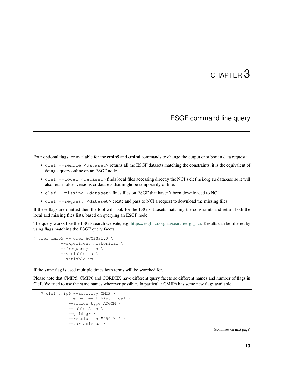# ESGF command line query

<span id="page-16-0"></span>Four optional flags are available for the **cmip5** and **cmip6** commands to change the output or submit a data request:

- clef --remote <dataset> returns all the ESGF datasets matching the constraints, it is the equivalent of doing a query online on an ESGF node
- clef --local <dataset> finds local files accessing directly the NCI's clef.nci.org.au database so it will also return older versions or datasets that might be temporarily offline.
- clef --missing <dataset> finds files on ESGF that haven't been downloaded to NCI
- clef --request <dataset> create and pass to NCI a request to download the missing files

If these flags are omitted then the tool will look for the ESGF datasets matching the constraints and return both the local and missing files lists, based on querying an ESGF node.

The query works like the ESGF search website, e.g. [https://esgf.nci.org.au/search/esgf\\_nci.](https://esgf.nci.org.au/search/esgf_nci) Results can be filtered by using flags matching the ESGF query facets:

```
$ clef cmip5 --model ACCESS1.0 \
           --experiment historical \
           --frequency mon \
           --variable ua \
           --variable va
```
If the same flag is used multiple times both terms will be searched for.

Please note that CMIP5, CMIP6 and CORDEX have different query facets so different names and number of flags in CleF. We tried to use the same names wherever possible. In particular CMIP6 has some new flags available:

```
$ clef cmip6 --activity CMIP \
           --experiment historical \
           --source_type AOGCM \
           --table Amon \
           --grid gr \
           --resolution "250 km" \
           --variable ua \
```
(continues on next page)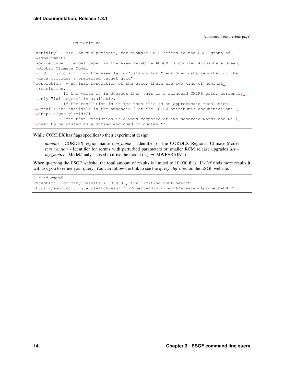```
--variable va
`activity` - MIPS or sub-projects, for example CMIP refers to the DECK group of
˓→experiments
`source_type` - model type, in the example above AOGCM is coupled Atmosphere-Ocean.
˓→Global Climate Model
`grid` - grid kind, in the example 'gr' stands for "regridded data reported on the
˓→data provider's preferred target grid"
`resolution` - nominal resolution of the grid, there are two kind of nominal.
˓→resolution.
           If the value is in degrees then this is a standard CMIP6 grid, currently
˓→only "1x1 degree" is available.
           If the resolution is in kms then this is an approximate resolution.
˓→Details are available in the appendix 2 of the CMIP6 attributes documentation:
˓→https://goo.gl/v1drZl
           Note that resolution is always composed of two separate words and will
˓→need to be passed as a string enclosed in quotes "".
```
While CORDEX has flags specifics to their experiment design:

*domain* - CORDEX region name *rcm\_name* - Identifier of the CORDEX Regional Climate Model *rcm\_version* - Identifier for reruns with perturbed parameters or smaller RCM release upgrades *driving\_model* - Model/analysis used to drive the model (eg. ECMWFERAINT)

When querying the ESGF website, the total amount of results is limited to 10,000 files. If *clef* finds more results it will ask you to refine your query. You can follow the link to see the query *clef* used on the ESGF website:

```
$ clef cmip5
Exception: Too many results (1030069), try limiting your search
https://esgf.nci.org.au/search/esgf_nci?query=&distrib=on&latest=on&project=CMIP5
```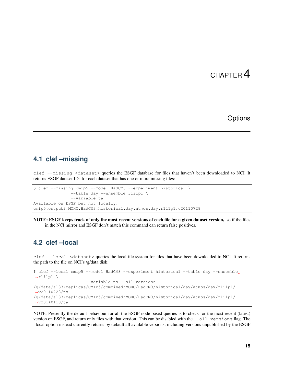# **Options**

### <span id="page-18-1"></span><span id="page-18-0"></span>**4.1 clef –missing**

clef --missing <dataset> queries the ESGF database for files that haven't been downloaded to NCI. It returns ESGF dataset IDs for each dataset that has one or more missing files:

```
$ clef --missing cmip5 --model HadCM3 --experiment historical \
               --table day --ensemble r1i1p1 \
               --variable ta
Available on ESGF but not locally:
cmip5.output2.MOHC.HadCM3.historical.day.atmos.day.r1i1p1.v20110728
```
NOTE: ESGF keeps track of only the most recent versions of each file for a given dataset version, so if the files in the NCI mirror and ESGF don't match this command can return false positives.

## <span id="page-18-2"></span>**4.2 clef –local**

clef --local <dataset> queries the local file system for files that have been downloaded to NCI. It returns the path to the file on NCI's /g/data disk:

```
$ clef --local cmip5 --model HadCM3 --experiment historical --table day --ensemble
\rightarrowr1i1p1 \
                     --variable ta --all-versions
/g/data/al33/replicas/CMIP5/combined/MOHC/HadCM3/historical/day/atmos/day/r1i1p1/
˓→v20110728/ta
/g/data/al33/replicas/CMIP5/combined/MOHC/HadCM3/historical/day/atmos/day/r1i1p1/
˓→v20140110/ta
```
NOTE: Presently the default behaviour for all the ESGF-node based queries is to check for the most recent (latest) version on ESGF, and return only files with that version. This can be disabled with the --all-versions flag. The –local option instead currently returns by default all available versions, including versions unpublished by the ESGF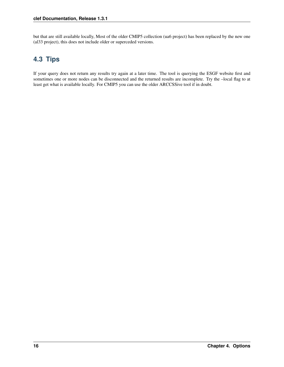but that are still available locally, Most of the older CMIP5 collection (ua6 project) has been replaced by the new one (al33 project), this does not include older or superceded versions.

# <span id="page-19-0"></span>**4.3 Tips**

If your query does not return any results try again at a later time. The tool is querying the ESGF website first and sometimes one or more nodes can be disconnected and the returned results are incomplete. Try the –local flag to at least get what is available locally. For CMIP5 you can use the older ARCCSSive tool if in doubt.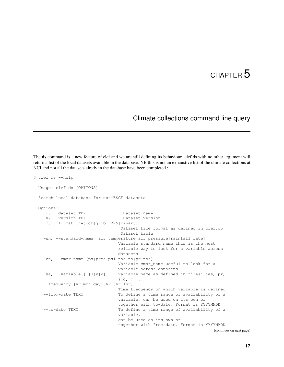# Climate collections command line query

<span id="page-20-0"></span>The ds command is a new feature of clef and we are still defining its behaviour. clef ds with no other argument will return a list of the local datasets available in the database. NB this is not an exhaustive list of the climate collections at NCI and not all the datasets alredy in the database have been completed.:

```
$ clef ds --help
 Usage: clef ds [OPTIONS]
 Search local database for non-ESGF datasets
 Options:
   -d, --dataset TEXT Dataset name
   -v, --version TEXT Dataset version
   -f, --format [netcdf|grib|HDF5|binary]
                                 Dataset file format as defined in clef.db
                                 Dataset table
   -sn, --standard-name [air_temperature|air_pressure|rainfall_rate]
                                Variable standard_name this is the most
                                reliable way to look for a variable across
                                datasets
   -cn, --cmor-name [ps|pres|psl|tas|ta|pr|tos]
                                Variable cmor_name useful to look for a
                                variable across datasets
   -va, -variable [T|U|V|Z] Variable name as defined in files: tas, pr,
                                sic, T \ldots--frequency [yr|mon|day|6hr|3hr|1hr]
                                Time frequency on which variable is defined
   --from-date TEXT To define a time range of availability of a
                                variable, can be used on its own or
                                together with to-date. Format is YYYYMMDD
   --to-date TEXT To define a time range of availability of a
                                variable,
                                can be used on its own or
                                together with from-date. Format is YYYYMMDD
                                                                      (continues on next page)
```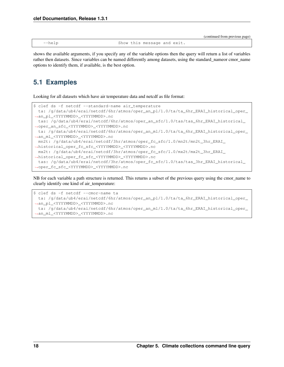|                |                             | (continued from previous page) |
|----------------|-----------------------------|--------------------------------|
| $-\text{help}$ | Show this message and exit. |                                |

shows the available arguments, if you specify any of the variable options then the query will return a list of variables rather then datasets. Since variables can be named differently among datasets, using the standard\_nameor cmor\_name options to identify them, if available, is the best option.

# <span id="page-21-0"></span>**5.1 Examples**

Looking for all datasets which have air temperature data and netcdf as file format:

```
$ clef ds -f netcdf --standard-name air_temperature
 ta: /g/data/ub4/erai/netcdf/6hr/atmos/oper_an_pl/1.0/ta/ta_6hr_ERAI_historical_oper_
˓→an_pl_<YYYYMMDD>_<YYYYMMDD>.nc
 tas: /g/data/ub4/erai/netcdf/6hr/atmos/oper_an_sfc/1.0/tas/tas_6hr_ERAI_historical_
˓→oper_an_sfc_<YYYYMMDD>_<YYYYMMDD>.nc
 ta: /g/data/ub4/erai/netcdf/6hr/atmos/oper_an_ml/1.0/ta/ta_6hr_ERAI_historical_oper_
˓→an_ml_<YYYYMMDD>_<YYYYMMDD>.nc
 mn2t: /g/data/ub4/erai/netcdf/3hr/atmos/oper_fc_sfc/1.0/mn2t/mn2t_3hr_ERAI_
˓→historical_oper_fc_sfc_<YYYYMMDD>_<YYYYMMDD>.nc
 mx2t: /g/data/ub4/erai/netcdf/3hr/atmos/oper_fc_sfc/1.0/mx2t/mx2t_3hr_ERAI_
˓→historical_oper_fc_sfc_<YYYYMMDD>_<YYYYMMDD>.nc
 tas: /g/data/ub4/erai/netcdf/3hr/atmos/oper_fc_sfc/1.0/tas/tas_3hr_ERAI_historical_
˓→oper_fc_sfc_<YYYYMMDD>_<YYYYMMDD>.nc
```
NB for each variable a path structure is returned. This returns a subset of the previous query using the cmor\_name to clearly identify one kind of air\_temperature:

```
$ clef ds -f netcdf --cmor-name ta
 ta: /g/data/ub4/erai/netcdf/6hr/atmos/oper_an_pl/1.0/ta/ta_6hr_ERAI_historical_oper_
˓→an_pl_<YYYYMMDD>_<YYYYMMDD>.nc
 ta: /g/data/ub4/erai/netcdf/6hr/atmos/oper_an_ml/1.0/ta/ta_6hr_ERAI_historical_oper_
˓→an_ml_<YYYYMMDD>_<YYYYMMDD>.nc
```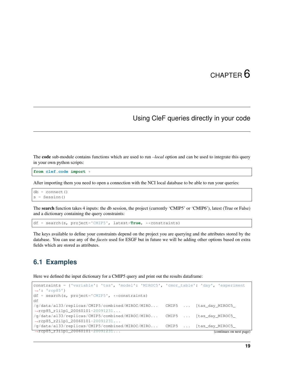# Using CleF queries directly in your code

<span id="page-22-0"></span>The code sub-module contains functions which are used to run *–local* option and can be used to integrate this query in your own python scripts:

**from clef.code import** \*

After importing them you need to open a connection with the NCI local database to be able to run your queries:

 $db = connect()$ s = Session()

The search function takes 4 inputs: the db session, the project (currently 'CMIP5' or 'CMIP6'), latest (True or False) and a dictionary containing the query constraints:

df = search(s, project='CMIP5', latest=**True**, \*\*constraints)

The keys available to define your constraints depend on the project you are querying and the attributes stored by the database. You can use any of the *facets* used for ESGF but in future we will be adding other options based on extra fields which are stored as attributes.

# <span id="page-22-1"></span>**6.1 Examples**

Here we defined the input dictionary for a CMIP5 query and print out the results dataframe:

```
constraints = {'variable': 'tas', 'model': 'MIROC5', 'cmor_table': 'day', 'experiment
˓→': 'rcp85'}
df = search(s, project='CMIP5', **constraints)
df
/g/data/al33/replicas/CMIP5/combined/MIROC/MIRO... CMIP5 ... [tas_day_MIROC5_
˓→rcp85_r1i1p1_20060101-20091231...
/g/data/al33/replicas/CMIP5/combined/MIROC/MIRO... CMIP5 ... [tas_day_MIROC5_
˓→rcp85_r2i1p1_20060101-20091231...
/g/data/al33/replicas/CMIP5/combined/MIROC/MIRO... CMIP5 ... [tas_day_MIROC5_
 →rcp85_r3i1p1_20060101-20091231... (continues on next page)
```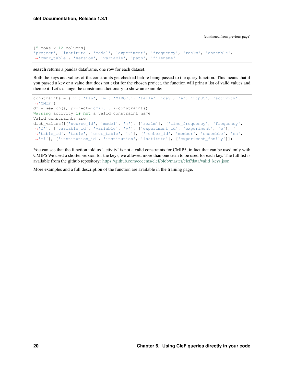```
[5 rows x 12 columns]
'project', 'institute', 'model', 'experiment', 'frequency', 'realm', 'ensemble',
˓→'cmor_table', 'version', 'variable', 'path', 'filename'
```
search returns a pandas dataframe, one row for each dataset.

Both the keys and values of the constraints get checked before being passed to the query function. This means that if you passed a key or a value that does not exist for the chosen project, the function will print a list of valid values and then exit. Let's change the constraints dictionary to show an example:

```
constraints = {'v': 'tas', 'm': 'MIROC5', 'table': 'day', 'e': 'rcp85', 'activity':
˓→'CMIP'}
df = search(s, project='cmp5', *constraints)Warning activity is not a valid constraint name
Valid constraints are:
dict_values([['source_id', 'model', 'm'], ['realm'], ['time_frequency', 'frequency',
˓→'f'], ['variable_id', 'variable', 'v'], ['experiment_id', 'experiment', 'e'], [
˓→'table_id', 'table', 'cmor_table', 't'], ['member_id', 'member', 'ensemble', 'en',
˓→'mi'], ['institution_id', 'institution', 'institute'], ['experiment_family']])
```
You can see that the function told us 'activity' is not a valid constraints for CMIP5, in fact that can be used only with CMIP6 We used a shorter version for the keys, we allowed more than one term to be used for each key. The full list is available from the github repository: [https://github.com/coecms/clef/blob/master/clef/data/valid\\_keys.json](https://github.com/coecms/clef/blob/master/clef/data/valid_keys.json)

More examples and a full description of the function are available in the training page.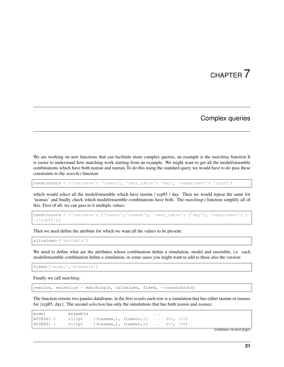## Complex queries

<span id="page-24-0"></span>We are working on new functions that can facilitate more complex queries, an example is the *matching* function It is easier to understand how matching work starting from an example. We might want to get all the model/ensemble combinations which have both tasmin and tasmax To do this using the standard query we would have to do pass these constraints to the *search()* function:

constraints = {'variable': 'tasmin', 'cmor\_table': 'day', 'experiment': 'rcp85'}

which would select all the model/ensemble which have tasmin / rcp85 / day. Then we would repeat the same for 'tasmax' and finally check which model/ensemble combinations have both. The *matching()* function simplify all of this. First of all, we can pass to it multiple values:

```
constraints = {'variable': ['tasmin','tasmax'], 'cmor_table': ['day'], 'experiment': [
\leftrightarrow'rcp85']}
```
Then we need define the attribute for which we want all the values to be present:

```
allvalues=['variable']
```
We need to define what are the attributes whose combination define a simulation, model and ensemble, i.e. each model/ensemble combination define a simulation, in some cases you might want to add to these also the version:

fixed=['model','ensemble']

Finally we call *matching*:

results, selection = matching(s, allvalues, fixed, \*\*constraints)

The function returns two pandas dataframe, in the first *results* each row is a simulation that has either tasmin or tasmax for {rcp85, day}. The second *selection* has only the simulations that has both *tasmin* and *tasmax*:

| model                                                                                                   | ensemble |  | $\cdots$ |  |
|---------------------------------------------------------------------------------------------------------|----------|--|----------|--|
| $\text{ACCESS1.0}$ r1i1p1 {(tasmax,),(tasmin,)} $(41, 125)$                                             |          |  |          |  |
| $\text{ACCESS1.3}$ $\text{r1ilpl}$ $\{(\text{tasmax}_t), (\text{tasmin}_t), \ldots, (\text{53, 108})\}$ |          |  |          |  |

(continues on next page)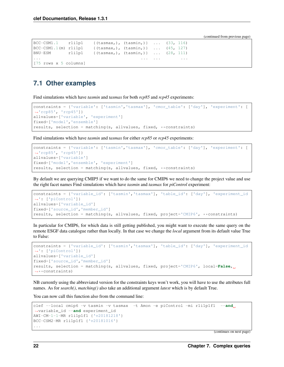```
BCC-CSM1.1 r1i1p1 {(tasmax,), (tasmin,)} ... (33, 116)
BCC-CSM1.1(m) r1i1p1 {(tasmax,), (tasmin,)} ... (45, 127)
BNU-ESM r1i1p1 {(tasmax,), (tasmin,)} ... (28, 111)
... ... ... ...
[75 rows x 5 columns]
```
## <span id="page-25-0"></span>**7.1 Other examples**

Find simulations which have *tasmin* and *tasmax* for both *rcp85* and *rcp45* experiments:

```
constraints = {'variable': ['tasmin','tasmax'], 'cmor_table': ['day'], 'experiment': [
˓→'rcp85', 'rcp45']}
allvalues=['variable', 'experiment']
fixed=['model','ensemble']
results, selection = matching(s, allvalues, fixed, **constraints)
```
Find simulations which have *tasmin* and *tasmax* for either *rcp85* or *rcp45* experiments:

```
constraints = {'variable': ['tasmin','tasmax'], 'cmor_table': ['day'], 'experiment': [
˓→'rcp85', 'rcp45']}
allvalues=['variable']
fixed=['model','ensemble', 'experiment']
results, selection = matching(s, allvalues, fixed, ** constraints)
```
By default we are querying CMIP5 if we want to do the same for CMIP6 we need to change the project value and use the right facet names Find simulations which have *tasmin* and *tasmax* for *piControl* experiment:

```
constraints = {'variable_id': ['tasmin','tasmax'], 'table_id': ['day'], 'experiment_id
˓→': ['piControl']}
allvalues=['variable_id']
fixed=['source_id','member_id']
results, selection = matching(s, allvalues, fixed, project='CMIP6', **constraints)
```
In particular for CMIP6, for which data is still getting published, you might want to execute the same query on the remote ESGF data catalogue rather than locally. In that case we change the *local* argument from its default value True to False:

```
constraints = {'variable_id': ['tasmin','tasmax'], 'table_id': ['day'], 'experiment_id
˓→': ['piControl']}
allvalues=['variable_id']
fixed=['source_id','member_id']
results, selection = matching(s, allvalues, fixed, project='CMIP6', local=False,
˓→**constraints)
```
NB currently using the abbreviated version for the constraints keys won't work, you will have to use the attributes full names. As for *search()*, *matching()* also take an additional argument *latest* which is by default True.

You can now call this function also from the command line:

```
clef --local cmip6 -v tasmin -v tasmax -t Amon -e piControl -mi r1i1p1f1 --and
˓→variable_id --and experiment_id
AWI-CM-1-1-MR r1i1p1f1 {'v20181218'}
BCC-CSM2-MR r1i1p1f1 {'v20181016'}
...
```
(continues on next page)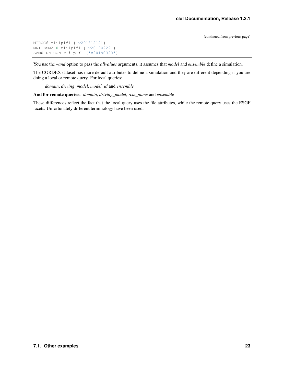```
MIROC6 r1i1p1f1 {'v20181212'}
MRI-ESM2-0 r1i1p1f1 {'v20190222'}
SAM0-UNICON r1i1p1f1 {'v20190323'}
```
You use the *–and* option to pass the *allvalues* arguments, it assumes that *model* and *ensemble* define a simulation.

The CORDEX dataset has more default attributes to define a simulation and they are different depending if you are doing a local or remote query. For local queries:

*domain*, *driving\_model*, *model\_id* and *ensemble*

And for remote queries: *domain*, *driving\_model*, *rcm\_name* and *ensemble*

These differences reflect the fact that the local query uses the file attributes, while the remote query uses the ESGF facets. Unfortunately different terminology have been used.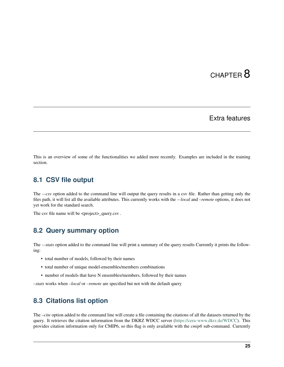## Extra features

<span id="page-28-0"></span>This is an overview of some of the functionalities we added more recently. Examples are included in the training section.

## <span id="page-28-1"></span>**8.1 CSV file output**

The *--csv* option added to the command line will output the query results in a csv file. Rather than getting only the files path, it will list all the available attributes. This currently works with the *–-local* and *–remote* options, it does not yet work for the standard search.

The csv file name will be <project>\_query.csv.

## <span id="page-28-2"></span>**8.2 Query summary option**

The --stats option added to the command line will print a summary of the query results Currently it prints the following:

- total number of models, followed by their names
- total number of unique model-ensembles/members combinations
- number of models that have N ensembles/members, followed by their names

*–stats* works when *–local* or *–remote* are specified but not with the default query

### <span id="page-28-3"></span>**8.3 Citations list option**

The *–cite* option added to the command line will create a file containing the citations of all the datasets returned by the query. It retrieves the citation information from the DKRZ WDCC server [\(https://cera-www.dkrz.de/WDCC\)](https://cera-www.dkrz.de/WDCC). This provides citation information only for CMIP6, so this flag is only available with the *cmip6* sub-command. Currently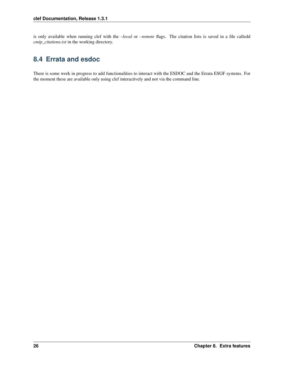is only available when running clef with the *–local* or *–remote* flags. The citation lists is saved in a file calledd *cmip\_citations.txt* in the working directory.

# <span id="page-29-0"></span>**8.4 Errata and esdoc**

There is some work in progress to add functionalities to interact with the ESDOC and the Errata ESGF systems. For the moment these are available only using clef interactively and not via the command line.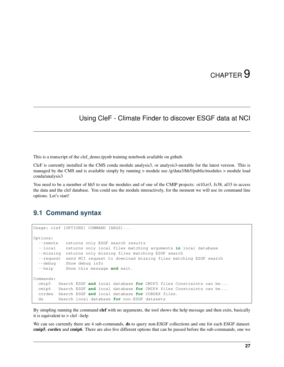# <span id="page-30-0"></span>Using CleF - Climate Finder to discover ESGF data at NCI

This is a transcript of the clef\_demo.ipynb training notebook available on github.

CleF is currently installed in the CMS conda module analysis3, or analysis3-unstable for the latest version. This is managed by the CMS and is available simply by running > module use /g/data3/hh5/public/modules > module load conda/analysis3

You need to be a member of hh5 to use the modules and of one of the CMIP projects: oi10,rr3, fs38, al33 to access the data and the clef database. You could use the module interactively, for the moment we will use its command line options. Let's start!

### <span id="page-30-1"></span>**9.1 Command syntax**

```
Usage: clef [OPTIONS] COMMAND [ARGS]...
Options:
 --remote returns only ESGF search results
 --local returns only local files matching arguments in local database
 --missing returns only missing files matching ESGF search
  --request send NCI request to download missing files matching ESGF search
 --debug Show debug info
 --help Show this message and exit.
Commands:
 cmip5 Search ESGF and local database for CMIP5 files Constraints can be...
 cmip6 Search ESGF and local database for CMIP6 files Constraints can be...
 cordex Search ESGF and local database for CORDEX files.
 ds Search local database for non-ESGF datasets
```
By simpling running the command clef with no arguments, the tool shows the help message and then exits, basically it is equivalent to > clef –help

We can see currently there are 4 sub-commands, **ds** to query non-ESGF collections and one for each ESGF dataset: cmip5, cordex and cmip6. There are also five different options that can be passed before the sub-commands, one we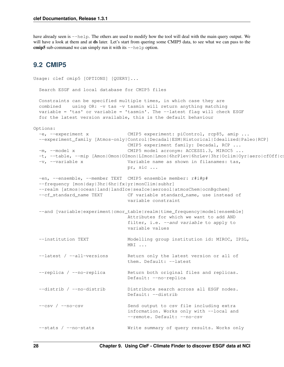have already seen is  $-\text{help}$ . The others are used to modify how the tool will deal with the main query output. We will have a look at them and at ds later. Let's start from quering some CMIP5 data, to see what we can pass to the cmip5 sub-command we can simply run it with its  $-\text{help}$  option.

### <span id="page-31-0"></span>**9.2 CMIP5**

```
Usage: clef cmip5 [OPTIONS] [QUERY]...
 Search ESGF and local database for CMIP5 files
 Constraints can be specified multiple times, in which case they are
 combined using OR: -v tas -v tasmin will return anything matching
 variable = 'tas' or variable = 'tasmin'. The --latest flag will check ESGF
 for the latest version available, this is the default behaviour
Options:
 -e, --experiment x CMIP5 experiment: piControl, rcp85, amip ...
 --experiment_family [Atmos-only|Control|Decadal|ESM|Historical|Idealized|Paleo|RCP]
                                CMIP5 experiment family: Decadal, RCP ...
 -m, --model x CMIP5 model acronym: ACCESS1.3, MIROC5 ...
 -t, --table, --mip [Amon|Omon|OImon|LImon|Lmon|6hrPlev|6hrLev|3hr|Oclim|Oyr|aero|cfOff|c
 -v, --variable x Variable name as shown in filanames: tas,
                                pr, sic ...
 -en, --ensemble, --member TEXT CMIP5 ensemble member: r#i#p#
 --frequency [mon|day|3hr|6hr|fx|yr|monClim|subhr]
 --realm [atmos|ocean|land|landIce|seaIce|aerosol|atmosChem|ocnBgchem]
 --cf_standard_name TEXT CF variable standard_name, use instead of
                                variable constraint
 --and [variable|experiment|cmor_table|realm|time_frequency|model|ensemble]
                                Attributes for which we want to add AND
                                filter, i.e. --and variable to apply to
                                variable values
 --institution TEXT Modelling group institution id: MIROC, IPSL,
                                MRI ...
 --latest / --all-versions Return only the latest version or all of
                                them. Default: --latest
 --replica / --no-replica Return both original files and replicas.
                                Default: --no-replica
 --distrib / --no-distrib Distribute search across all ESGF nodes.
                                Default: --distrib
 --csv / --no-csv Send output to csv file including extra
                                information. Works only with --local and
                                --remote. Default: --no-csv
 --stats / --no-stats Write summary of query results. Works only
```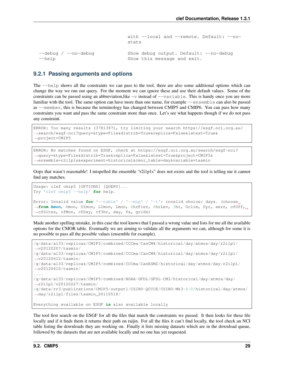```
with --local and --remote. Default: --no-
                          stats
--debug / --no-debug Show debug output. Default: --no-debug
--help Show this message and exit.
```
#### **9.2.1 Passing arguments and options**

The --help shows all the constraints we can pass to the tool, there are also some additional options which can change the way we run our query. For the moment we can ignore these and use their default values. Some of the constraints can be passed using an abbreviation, like  $-v$  instead of  $-v$  ariable. This is handy once you are more familiar with the tool. The same option can have more than one name, for example  $-\text{ensemble}$  can also be passed as --member, this is because the terminology has changed between CMIP5 and CMIP6. You can pass how many constraints you want and pass the same constraint more than once. Let's see what happens though if we do not pass any constraint.

```
ERROR: Too many results (3781387), try limiting your search https://esgf.nci.org.au/
˓→search/esgf-nci?query=&type=File&distrib=True&replica=False&latest=True&
˓→project=CMIP5
```

```
ERROR: No matches found on ESGF, check at https://esgf.nci.org.au/search/esgf-nci?
˓→query=&type=File&distrib=True&replica=False&latest=True&project=CMIP5&
˓→ensemble=r2i1p1s&experiment=historical&cmor_table=day&variable=tasmin
```
Oops that wasn't reasonable! I mispelled the ensemble "r2i1p1s" does not exists and the tool is telling me it cannot find any matches.

```
Usage: clef cmip5 [OPTIONS] [QUERY]...
Try 'clef cmip5 --help' for help.
Error: Invalid value for '--table' / '--mip' / '-t': invalid choice: days. (choose<sub>d</sub>
˓→from Amon, Omon, OImon, LImon, Lmon, 6hrPlev, 6hrLev, 3hr, Oclim, Oyr, aero, cfOff,
˓→cfSites, cfMon, cfDay, cf3hr, day, fx, grids)
```
Made another spelling mistake, in this case the tool knows that I passed a wrong value and lists for me all the available options for the CMOR table. Eventually we are aiming to validate all the arguments we can, although for some it is no possible to pass all the possible values (ensemble for example).

```
/g/data/al33/replicas/CMIP5/combined/CCCma/CanCM4/historical/day/atmos/day/r2i1p1/
˓→v20120207/tasmin/
/g/data/al33/replicas/CMIP5/combined/CCCma/CanCM4/historical/day/atmos/day/r2i1p1/
˓→v20120612/tasmin/
/g/data/al33/replicas/CMIP5/combined/CCCma/CanESM2/historical/day/atmos/day/r2i1p1/
˓→v20120410/tasmin/
....
/g/data/al33/replicas/CMIP5/combined/NOAA-GFDL/GFDL-CM3/historical/day/atmos/day/
˓→r2i1p1/v20120227/tasmin/
/g/data/rr3/publications/CMIP5/output1/CSIRO-QCCCE/CSIRO-Mk3-6-0/historical/day/atmos/
˓→day/r2i1p1/files/tasmin_20110518/
Everything available on ESGF is also available locally
```
The tool first search on the ESGF for all the files that match the constraints we passed. It then looks for these file locally and if it finds them it returns their path on raijin. For all the files it can't find locally, the tool check an NCI table listing the downloads they are working on. Finally it lists missing datasets which are in the download queue, followed by the datasets that are not available locally and no one has yet requested.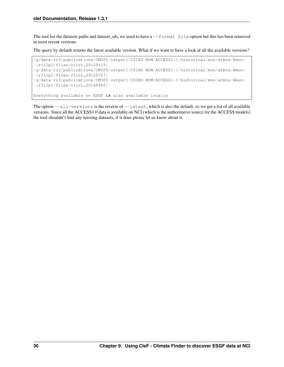The tool list the datasets paths and dataset ids, we used to have a  $-\text{format file}$  option but this has been removed in most recent versions.

The query by default returns the latest available version. What if we want to have a look at all the available versions?

```
/g/data/rr3/publications/CMIP5/output1/CSIRO-BOM/ACCESS1-0/historical/mon/atmos/Amon/
˓→r1i1p1/files/clivi_20120115/
/g/data/rr3/publications/CMIP5/output1/CSIRO-BOM/ACCESS1-0/historical/mon/atmos/Amon/
˓→r1i1p1/files/clivi_20120727/
/g/data/rr3/publications/CMIP5/output1/CSIRO-BOM/ACCESS1-0/historical/mon/atmos/Amon/
˓→r3i1p1/files/clivi_20140402/
Everything available on ESGF is also available locally
```
The option --all-versions is the reverse of --latest, which is also the default, so we get a list of all available versions. Since all the ACCESS1.0 data is available on NCI (which is the authoritative source for the ACCESS models) the tool shouldn't find any missing datasets, if it does please let us know about it.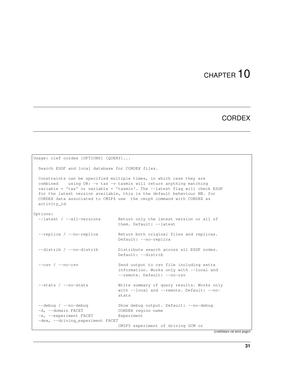## **CORDEX**

```
Usage: clef cordex [OPTIONS] [QUERY]...
 Search ESGF and local database for CORDEX files.
 Constraints can be specified multiple times, in which case they are
 combined using OR: -v tas -v tasmin will return anything matching
 variable = 'tas' or variable = 'tasmin'. The --latest flag will check ESGF
 for the latest version available, this is the default behaviour NB. for
 CORDEX data associated to CMIP6 use the cmip6 command with CORDEX as
 activity_id
Options:
  --latest / --all-versions Return only the latest version or all of
                               them. Default: --latest
 --replica / --no-replica Return both original files and replicas.
                               Default: --no-replica
 --distrib / --no-distrib Distribute search across all ESGF nodes.
                               Default: --distrib
 --csv / --no-csv Send output to csv file including extra
                               information. Works only with --local and
                               --remote. Default: --no-csv
 --stats / --no-stats Write summary of query results. Works only
                               with --local and --remote. Default: --no-
                               stats
 --debug / --no-debug Show debug output. Default: --no-debug
 -d, --domain FACET CORDEX region name
 -e, --experiment FACET Experiment
 -dex, --driving_experiment FACET
                               CMIP5 experiment of driving GCM or
```
(continues on next page)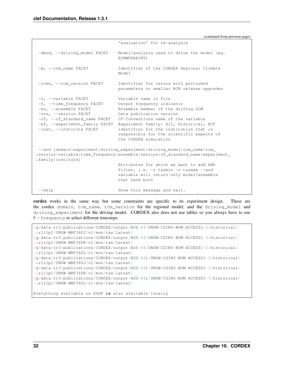```
'evaluation' for re-analysis
 -dmod, --driving_model FACET Model/analysis used to drive the model (eg.
                               ECMWFERAINT)
 -m, --rcm_name FACET Identifier of the CORDEX Regional Climate
                               Model
 -rcmv, --rcm_version FACET Identifier for reruns with perturbed
                               parameters or smaller RCM release upgrades
 -v, --variable FACET Variable name in file
 -f, --time_frequency FACET Output frequency indicator
 -en, --ensemble FACET Ensemble member of the driving GCM
 -vrs, --version FACET Data publication version
 -cf, --cf_standard_name FACET CF-Conventions name of the variable
 -ef, --experiment_family FACET Experiment family: All, Historical, RCP
 -inst, --institute FACET identifier for the institution that is
                               responsible for the scientific aspects of
                               the CORDEX simulation
 --and [domain|experiment|driving_experiment|driving_model|rcm_name|rcm_
˓→version|variable|time_frequency|ensemble|version|cf_standard_name|experiment_
˓→family|institute]
                               Attributes for which we want to add AND
                               filter, i.e. -v tasmin -v tasmax --and
                               variable will return only model/ensemble
                               that have both
 --help Show this message and exit.
```
cordex works in the same way but some constraints are specific to its experiment design. These are the cordex domain, rcm\_name, rcm\_version for the regional model, and the driving\_model and driving experiment for the driving model. CORDEX also does not use tables so you always have to use f--frequency to select different timesteps.

```
/g/data/rr3/publications/CORDEX/output/AUS-44/UNSW/CSIRO-BOM-ACCESS1-3/historical/
˓→r1i1p1/UNSW-WRF360J/v1/mon/tas/latest/
/g/data/rr3/publications/CORDEX/output/AUS-44/UNSW/CSIRO-BOM-ACCESS1-3/historical/
˓→r1i1p1/UNSW-WRF360K/v1/mon/tas/latest/
/g/data/rr3/publications/CORDEX/output/AUS-44/UNSW/CSIRO-BOM-ACCESS1-3/historical/
˓→r1i1p1/UNSW-WRF360L/v1/mon/tas/latest/
/g/data/rr3/publications/CORDEX/output/AUS-44i/UNSW/CSIRO-BOM-ACCESS1-3/historical/
˓→r1i1p1/UNSW-WRF360J/v1/mon/tas/latest/
/g/data/rr3/publications/CORDEX/output/AUS-44i/UNSW/CSIRO-BOM-ACCESS1-3/historical/
˓→r1i1p1/UNSW-WRF360K/v1/mon/tas/latest/
/g/data/rr3/publications/CORDEX/output/AUS-44i/UNSW/CSIRO-BOM-ACCESS1-3/historical/
˓→r1i1p1/UNSW-WRF360L/v1/mon/tas/latest/
Everything available on ESGF is also available locally
```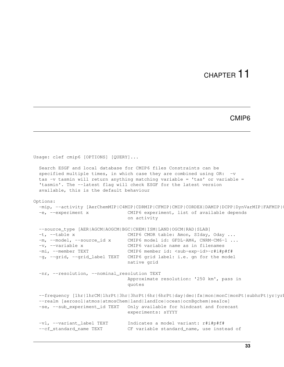#### CMIP6

```
Usage: clef cmip6 [OPTIONS] [QUERY]...
 Search ESGF and local database for CMIP6 files Constraints can be
 specified multiple times, in which case they are combined using OR: -v
 tas -v tasmin will return anything matching variable = 'tas' or variable =
 'tasmin'. The --latest flag will check ESGF for the latest version
 available, this is the default behaviour
Options:
 -mip, --activity [AerChemMIP|C4MIP|CDRMIP|CFMIP|CMIP|CORDEX|DAMIP|DCPP|DynVarMIP|FAFMIP|
 -e, --experiment x CMIP6 experiment, list of available depends
                                on activity
 --source_type [AER|AGCM|AOGCM|BGC|CHEM|ISM|LAND|OGCM|RAD|SLAB]
 -t, --table x CMIP6 CMOR table: Amon, SIday, Oday ...
 -m, --model, --source_id x CMIP6 model id: GFDL-AM4, CNRM-CM6-1 ...
 -v, --variable x CMIP6 variable name as in filenames
 -mi, --member TEXT CMIP6 member id: <sub-exp-id>-r#i#p#f#
 -g, --grid, --grid_label TEXT CMIP6 grid label: i.e. gn for the model
                                native grid
 -nr, --resolution, --nominal_resolution TEXT
                                Approximate resolution: '250 km', pass in
                                quotes
 --frequency [1hr|1hrCM|1hrPt|3hr|3hrPt|6hr|6hrPt|day|dec|fx|mon|monC|monPt|subhrPt|yr|yr--realm [aerosol|atmos|atmosChem|land|landIce|ocean|ocnBgchem|seaIce]
 -se, --sub_experiment_id TEXT Only available for hindcast and forecast
                                experiments: sYYYY
 -vl, --variant_label TEXT Indicates a model variant: r#i#p#f#
 --cf_standard_name TEXT CF variable standard_name, use instead of
```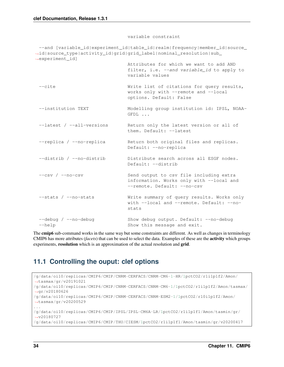#### variable constraint

--and [variable id|experiment id|table id|realm|frequency|member id|source ˓<sup>→</sup>id|source\_type|activity\_id|grid|grid\_label|nominal\_resolution|sub\_ ˓<sup>→</sup>experiment\_id] Attributes for which we want to add AND filter, i.e. --and variable id to apply to variable values --cite **Write list of citations for query results,** works only with --remote and --local options. Default: False --institution TEXT Modelling group institution id: IPSL, NOAA-GFDL ... --latest / --all-versions Return only the latest version or all of them. Default: --latest --replica / --no-replica Return both original files and replicas. Default: --no-replica --distrib / --no-distrib bistribute search across all ESGF nodes. Default: --distrib --csv / --no-csv Send output to csv file including extra information. Works only with --local and --remote. Default: --no-csv --stats / --no-stats Write summary of query results. Works only with --local and --remote. Default: --nostats --debug / --no-debug Show debug output. Default: --no-debug --help  $-$ help  $S$ how this message and exit.

The cmip6 sub-command works in the same way but some constraints are different. As well as changes in terminology CMIP6 has more attributes (*facets*) that can be used to select the data. Examples of these are the activity which groups experiments, **resolution** which is an approximation of the actual resolution and **grid**.

### **11.1 Controlling the ouput: clef options**

```
/g/data/oi10/replicas/CMIP6/CMIP/CNRM-CERFACS/CNRM-CM6-1-HR/1pctCO2/r1i1p1f2/Amon/
˓→tasmax/gr/v20191021
/g/data/oi10/replicas/CMIP6/CMIP/CNRM-CERFACS/CNRM-CM6-1/1pctCO2/r1i1p1f2/Amon/tasmax/
˓→gr/v20180626
/g/data/oi10/replicas/CMIP6/CMIP/CNRM-CERFACS/CNRM-ESM2-1/1pctCO2/r10i1p1f2/Amon/
˓→tasmax/gr/v20200529
...
/g/data/oi10/replicas/CMIP6/CMIP/IPSL/IPSL-CM6A-LR/1pctCO2/r1i1p1f1/Amon/tasmin/gr/
˓→v20180727
/g/data/oi10/replicas/CMIP6/CMIP/THU/CIESM/1pctCO2/r1i1p1f1/Amon/tasmin/gr/v20200417
```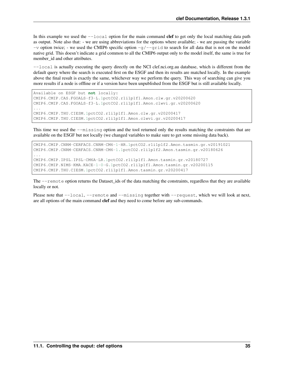In this example we used the  $-\text{local}$  option for the main command clef to get only the local matching data path as output. Note also that: - we are using abbreviations for the options where available; - we are passing the variable  $-v$  option twice; - we used the CMIP6 specific option  $-q$ / $-q$ rid to search for all data that is not on the model native grid. This doesn't indicate a grid common to all the CMIP6 output only to the model itself, the same is true for member id and other attributes.

--local is actually executing the query directly on the NCI clef.nci.org.au database, which is different from the default query where the search is executed first on the ESGF and then its results are matched locally. In the example above the final result is exactly the same, whichever way we perform the query. This way of searching can give you more results if a node is offline or if a version have been unpublished from the ESGF but is still available locally.

```
Available on ESGF but not locally:
CMIP6.CMIP.CAS.FGOALS-f3-L.1pctCO2.r1i1p1f1.Amon.clw.gr.v20200620
CMIP6.CMIP.CAS.FGOALS-f3-L.1pctCO2.r1i1p1f1.Amon.clwvi.gr.v20200620
...
CMIP6.CMIP.THU.CIESM.1pctCO2.r1i1p1f1.Amon.clw.gr.v20200417
CMIP6.CMIP.THU.CIESM.1pctCO2.r1i1p1f1.Amon.clwvi.gr.v20200417
```
This time we used the  $-\text{missing}$  option and the tool returned only the results matching the constraints that are available on the ESGF but not locally (we changed variables to make sure to get some missing data back).

```
CMIP6.CMIP.CNRM-CERFACS.CNRM-CM6-1-HR.1pctCO2.r1i1p1f2.Amon.tasmin.gr.v20191021
CMIP6.CMIP.CNRM-CERFACS.CNRM-CM6-1.1pctCO2.r1i1p1f2.Amon.tasmin.gr.v20180626
...
CMIP6.CMIP.IPSL.IPSL-CM6A-LR.1pctCO2.r1i1p1f1.Amon.tasmin.gr.v20180727
CMIP6.CMIP.NIMS-KMA.KACE-1-0-G.1pctCO2.r1i1p1f1.Amon.tasmin.gr.v20200115
CMIP6.CMIP.THU.CIESM.1pctCO2.r1i1p1f1.Amon.tasmin.gr.v20200417
```
The --remote option returns the Dataset\_ids of the data matching the constraints, regardless that they are available locally or not.

Please note that  $-\text{local}$ ,  $-\text{remote}$  and  $-\text{missing}$  together with  $-\text{request}$ , which we will look at next, are all options of the main command clef and they need to come before any sub-commands.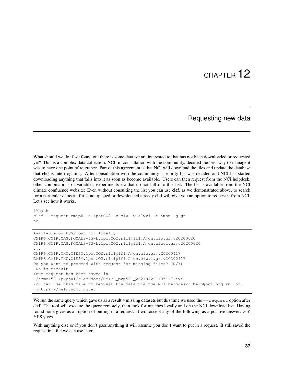### Requesting new data

What should we do if we found out there is some data we are interested to that has not been downloaded or requested yet? This is a complex data collection, NCI, in consultation with the community, decided the best way to manage it was to have one point of reference. Part of this agreement is that NCI will download the files and update the database that clef is interrrogating. After consultation with the community a priority list was decided and NCI has started downloading anything that falls into it as soon as become available. Users can then request from the NCI helpdesk, other combinations of variables, experiments etc that do not fall into this list. The list is available from the NCI climate confluence website: Even without consulting the list you can use clef, as we demonstrated above, to search for a particular dataset, if it is not queued or downloaded already clef will give you an option to request it from NCI. Let's see how it works.

```
%%bash
clef --request cmip6 -e 1pctCO2 -v clw -v clwvi -t Amon -g gr
no
```

```
Available on ESGF but not locally:
CMIP6.CMIP.CAS.FGOALS-f3-L.1pctCO2.r1i1p1f1.Amon.clw.gr.v20200620
CMIP6.CMIP.CAS.FGOALS-f3-L.1pctCO2.r1i1p1f1.Amon.clwvi.gr.v20200620
...
CMIP6.CMIP.THU.CIESM.1pctCO2.r1i1p1f1.Amon.clw.gr.v20200417
CMIP6.CMIP.THU.CIESM.1pctCO2.r1i1p1f1.Amon.clwvi.gr.v20200417
Do you want to proceed with request for missing files? (N/Y)
No is default
Your request has been saved in
/home/581/pxp581/clef/docs/CMIP6_pxp581_20210429T135117.txt
You can use this file to request the data via the NCI helpdesk: help@nci.org.au or
˓→https://help.nci.org.au.
```
We run the same query which gave us as a result 4 missing datasets but this time we used the  $-\text{request}$  option after clef. The tool will execute the query remotely, then look for matches locally and on the NCI download list. Having found none gives as an option of putting in a request. It will accept any of the following as a positive answer: > Y YES y yes

With anything else or if you don't pass anything it will assume you don't want to put in a request. It still saved the request in a file we can use later.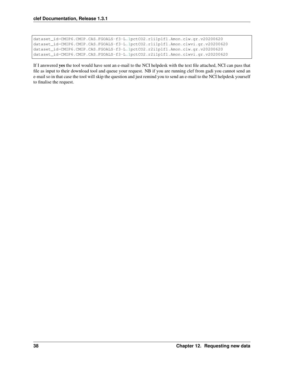```
dataset_id=CMIP6.CMIP.CAS.FGOALS-f3-L.1pctCO2.r1i1p1f1.Amon.clw.gr.v20200620
dataset_id=CMIP6.CMIP.CAS.FGOALS-f3-L.1pctCO2.r1i1p1f1.Amon.clwvi.gr.v20200620
dataset_id=CMIP6.CMIP.CAS.FGOALS-f3-L.1pctCO2.r2i1p1f1.Amon.clw.gr.v20200620
dataset_id=CMIP6.CMIP.CAS.FGOALS-f3-L.1pctCO2.r2i1p1f1.Amon.clwvi.gr.v20200620
```
If I answered yes the tool would have sent an e-mail to the NCI helpdesk with the text file attached, NCI can pass that file as input to their download tool and queue your request. NB if you are running clef from gadi you cannot send an e-mail so in that case the tool will skip the question and just remind you to send an e-mail to the NCI helpdesk yourself to finalise the request.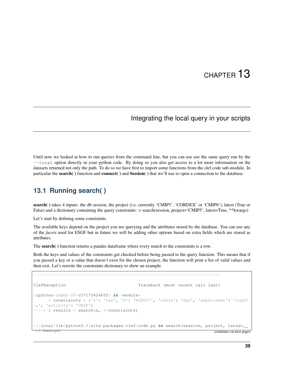## Integrating the local query in your scripts

Until now we looked at how to run queries from the command line, but you can use use the same query run by the --local option directly in your python code. By doing so you also get access to a lot more information on the datasets returned not only the path. To do so we have first to import some functions from the clef.code sub-module. In particular the search( ) function and connect( ) and Session( ) that we'll use to open a connection to the database.

### **13.1 Running search( )**

search() takes 4 inputs: the db session, the project (i.e. currently 'CMIP5', 'CORDEX' or 'CMIP6'), latest (True or False) and a dictionary containing the query constraints:  $>$  search(session, project='CMIP5', latest=True, \*\*kwargs)

Let's start by defining some constraints.

The available keys depend on the project you are querying and the attributes stored by the database. You can use any of the *facets* used for ESGF but in future we will be adding other options based on extra fields which are stored as attributes.

The search( ) function returns a pandas dataframe where every match to the constraints is a row.

---------------------------------------------------------------------------

Both the keys and values of the constraints get checked before being passed to the query function. This means that if you passed a key or a value that doesn't exist for the chosen project, the function will print a list of valid values and then exit. Let's rewrite the constraints dictionary to show an example.

```
ClefException Traceback (most recent call last)
<ipython-input-20-c5717342465f> in <module>
    1 constraints = {'v': 'tas', 'm': 'MIROC5', 'table': 'day', 'experiment': 'rcp85
˓→', 'activity': 'CMIP'}
---> 2 results = search(s, **constraints)
~/.local/lib/python3.8/site-packages/clef/code.py in search(session, project, latest,
 ˓→**kwargs) (continues on next page)
```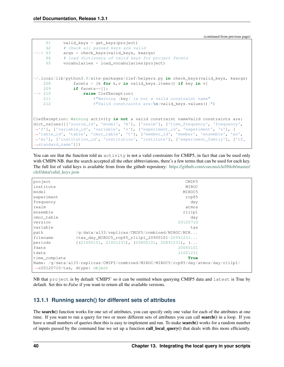(continued from previous page)

```
61 valid_keys = get_keys(project)
    62 # check all passed keys are valid
  -> 63 args = check_keys(valid_keys, kwargs)
    64 # load dictionary of valid keys for project facets
    65 vocabularies = load_vocabularies(project)
~/.local/lib/python3.8/site-packages/clef/helpers.py in check_keys(valid_keys, kwargs)
   208 facets = [k for k,v in valid_keys.items() if key in v]
   209 if facets==[]:
--> 210 raise ClefException(
   211 f"Warning {key} is not a valid constraint name"
   212 f"Valid constraints are:\n{valid_keys.values()}")
ClefException: Warning activity is not a valid constraint nameValid constraints are:
dict_values([['source_id', 'model', 'm'], ['realm'], ['time_frequency', 'frequency',
˓→'f'], ['variable_id', 'variable', 'v'], ['experiment_id', 'experiment', 'e'], [
˓→'table_id', 'table', 'cmor_table', 't'], ['member_id', 'member', 'ensemble', 'en',
˓→'mi'], ['institution_id', 'institution', 'institute'], ['experiment_family'], ['cf_
˓→standard_name']])
```
You can see that the function told us activity is not a valid constraints for CMIP5, in fact that can be used only with CMIP6 NB, that the search accepted all the other abbreviations, there's a few terms that can be used for each key. The full list of valid keys is available from from the github repository: [https://github.com/coecms/clef/blob/master/](https://github.com/coecms/clef/blob/master/clef/data/valid_keys.json) [clef/data/valid\\_keys.json](https://github.com/coecms/clef/blob/master/clef/data/valid_keys.json)

| project                                                                             | CMIP5                                                           |  |
|-------------------------------------------------------------------------------------|-----------------------------------------------------------------|--|
| institute                                                                           | MIROC                                                           |  |
| model                                                                               | MIROC5                                                          |  |
| experiment                                                                          | rcp85                                                           |  |
| frequency                                                                           | day                                                             |  |
| realm                                                                               | atmos                                                           |  |
| ensemble                                                                            | r1i1p1                                                          |  |
| cmor table                                                                          | day                                                             |  |
| version                                                                             | 20120710                                                        |  |
| variable                                                                            | tas                                                             |  |
| path                                                                                | $/q/data/al33/replicas/CMIPS/combined/MIROC/MIR$                |  |
| filename                                                                            | $\{\text{tas\_day\_MIROC5\_rcp85\_r1i1p1\_20900101-20991231}\}$ |  |
| periods                                                                             | $(21000101, 21001231), (20800101, 20891231), $                  |  |
| fdate                                                                               | 20060101                                                        |  |
| tdate                                                                               | 21001231                                                        |  |
| time_complete                                                                       | True                                                            |  |
| Name: /g/data/al33/replicas/CMIP5/combined/MIROC/MIROC5/rcp85/day/atmos/day/rlilp1/ |                                                                 |  |
| $\rightarrow$ v20120710/tas, dtype: object                                          |                                                                 |  |
|                                                                                     |                                                                 |  |

NB that project is by default 'CMIP5' so it can be omitted when querying CMIP5 data and latest is True by default. Set this to *False* if you want to return all the available versions.

#### **13.1.1 Running search() for different sets of attributes**

The **search**() function works for one set of attributes, you can specify only one value for each of the attributes at one time. If you want to run a query for two or more different sets of attributes you can call search() in a loop. If you have a small numbers of queries then this is easy to implement and run. To make **search**() works for a random number of inputs passed by the command line we set up a function call\_local\_query() that deals with this more efficiently.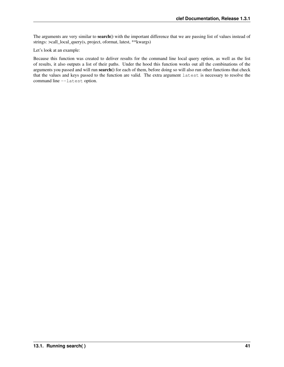The arguments are very similar to **search**() with the important difference that we are passing list of values instead of strings: >call\_local\_query(s, project, oformat, latest, \*\*kwargs)

Let's look at an example:

Because this function was created to deliver results for the command line local query option, as well as the list of results, it also outputs a list of their paths. Under the hood this function works out all the combinations of the arguments you passed and will run search() for each of them, before doing so will also run other functions that check that the values and keys passed to the function are valid. The extra argument latest is necessary to resolve the command line --latest option.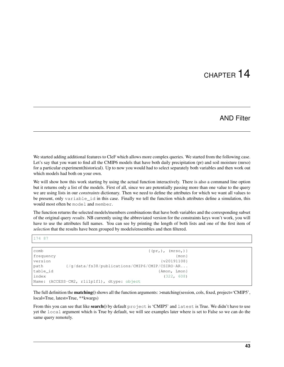### AND Filter

We started adding additional features to CleF which allows more complex queries. We started from the following case. Let's say that you want to find all the CMIP6 models that have both daily precipitation (pr) and soil moisture (mrso) for a particular experiment(historical). Up to now you would had to select separately both variables and then work out which models had both on your own.

We will show how this work starting by using the actual function interactively. There is also a command line option but it returns only a list of the models. First of all, since we are potentially passing more than one value to the query we are using lists in our *constraints* dictionary. Then we need to define the attributes for which we want all values to be present, only variable\_id in this case. Finally we tell the function which attributes define a simulation, this would most often be model and member.

The function returns the selected models/members combinations that have both variables and the corresponding subset of the original query *results*. NB currently using the abbreviated version for the constraints keys won't work, you will have to use the attributes full names. You can see by printing the length of both lists and one of the first item of *selection* that the results have been grouped by models/ensembles and then filtered.

#### 174 87

| comb                                        | $\{(pr, ), (mrso, )\}$                                      |
|---------------------------------------------|-------------------------------------------------------------|
| frequency                                   | $\{mon\}$                                                   |
| version                                     | $\{v20191108\}$                                             |
| path                                        | $\frac{1}{q}$ /q/data/fs38/publications/CMIP6/CMIP/CSIRO-AR |
| table id                                    | {Amon, Lmon}                                                |
| index                                       | (322, 608)                                                  |
| Name: (ACCESS-CM2, rli1p1f1), dtype: object |                                                             |

The full definition the **matching**() shows all the function arguments: >matching(session, cols, fixed, project='CMIP5', local=True, latest=True, \*\*kwargs)

From this you can see that like search() by default project is 'CMIP5' and latest is True. We didn't have to use yet the local argument which is True by default, we will see examples later where is set to False so we can do the same query remotely.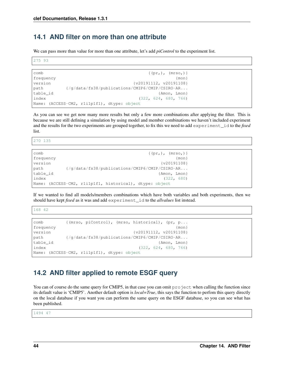### **14.1 AND filter on more than one attribute**

We can pass more than value for more than one attribute, let's add *piControl* to the experiment list.

275 93

```
comb \{(\text{pr}_1), (\text{mrs}_0)\}\frequency {m \choose 1}version \{v20191112, v20191108\}path {/g/data/fs38/publications/CMIP6/CMIP/CSIRO-AR...
table_id {Amon, Lmon}
index (322, 624, 680, 766)
Name: (ACCESS-CM2, r1i1p1f1), dtype: object
```
As you can see we get now many more results but only a few more combinations after applying the filter. This is because we are still defining a simulation by using model and member combinations we haven't included experiment and the results for the two experiments are grouped together, to fix this we need to add experiment\_id to the *fixed* list.

270 135

| comb      | $\{(pr, ), (mrso, )\}$                                                   |
|-----------|--------------------------------------------------------------------------|
| frequency | $\{mon\}$                                                                |
| version   | $\{v20191108\}$                                                          |
| path      | $\frac{1}{q} \cdot \frac{q}{data}$ fs38/publications/CMIP6/CMIP/CSIRO-AR |
| table id  | {Amon, Lmon}                                                             |
| index     | (322, 680)                                                               |
|           | Name: (ACCESS-CM2, rli1p1f1, historical), dtype: object                  |

If we wanted to find all models/members combinations which have both variables and both experiments, then we should have kept *fixed* as it was and add experiment\_id to the *allvalues* list instead.

168 42

```
comb {(mrso, piControl), (mrso, historical), (pr, p...
frequency (mon)
version {v20191112, v20191108}
path {/g/data/fs38/publications/CMIP6/CMIP/CSIRO-AR...
table_id {Amon, Lmon}
index (322, 624, 680, 766)
Name: (ACCESS-CM2, r1i1p1f1), dtype: object
```
## **14.2 AND filter applied to remote ESGF query**

You can of course do the same query for CMIP5, in that case you can omit project when calling the function since its default value is 'CMIP5'. Another default option is *local=True*, this says the function to perfom this query directly on the local database if you want you can perform the same query on the ESGF database, so you can see what has been published.

1494 47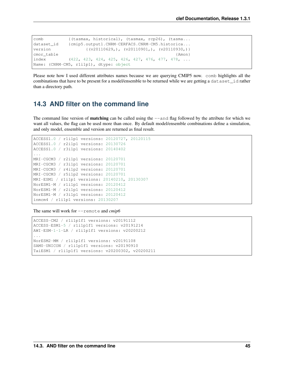```
comb {(tasmax, historical), (tasmax, rcp26), (tasma...
dataset_id {cmip5.output1.CNRM-CERFACS.CNRM-CM5.historica...
version {(v20110629,), (v20110901,), (v20110930,)}
cmor_table {Amon}
index (422, 423, 424, 425, 426, 427, 476, 477, 478, ...
Name: (CNRM-CM5, r1i1p1), dtype: object
```
Please note how I used different attributes names because we are querying CMIP5 now. comb highlights all the combinations that have to be present for a model/ensemble to be returned while we are getting a dataset\_id rather than a directory path.

#### **14.3 AND filter on the command line**

The command line version of **matching** can be called using the  $-\text{and flag followed by the attribute for which we$ want all values, the flag can be used more than once. By default model/ensemble combinations define a simulation, and only model, ensemble and version are returned as final result.

```
ACCESS1.0 / r1i1p1 versions: 20120727, 20120115
ACCESS1.0 / r2i1p1 versions: 20130726
ACCESS1.0 / r3i1p1 versions: 20140402
...
MRI-CGCM3 / r2i1p1 versions: 20120701
MRI-CGCM3 / r3i1p1 versions: 20120701
MRI-CGCM3 / r4i1p2 versions: 20120701
MRI-CGCM3 / r5i1p2 versions: 20120701
MRI-ESM1 / r1i1p1 versions: 20140210, 20130307
NorESM1-M / r1i1p1 versions: 20120412
NorESM1-M / r2i1p1 versions: 20120412
NorESM1-M / r3i1p1 versions: 20120412
inmcm4 / r1i1p1 versions: 20130207
```
The same will work for --remote and *cmip6*

```
ACCESS-CM2 / r1i1p1f1 versions: v20191112
ACCESS-ESM1-5 / r1i1p1f1 versions: v20191214
AWI-ESM-1-1-LR / r1i1p1f1 versions: v20200212
...
NorESM2-MM / r1i1p1f1 versions: v20191108
SAM0-UNICON / r1i1p1f1 versions: v20190910
TaiESM1 / r1i1p1f1 versions: v20200302, v20200211
```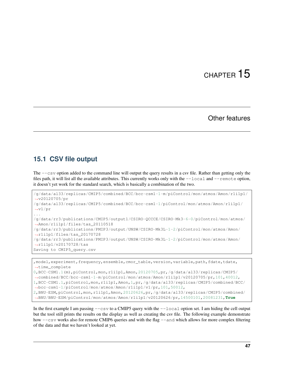#### Other features

#### **15.1 CSV file output**

The  $-\cos y$  option added to the command line will output the query results in a csv file. Rather than getting only the files path, it will list all the available attributes. This currently works only with the  $-\text{local}$  and  $-\text{remote}$  option, it doesn't yet work for the standard search, which is basically a combination of the two.

```
/g/data/al33/replicas/CMIP5/combined/BCC/bcc-csm1-1-m/piControl/mon/atmos/Amon/r1i1p1/
˓→v20120705/pr
/g/data/al33/replicas/CMIP5/combined/BCC/bcc-csm1-1/piControl/mon/atmos/Amon/r1i1p1/
˓→v1/pr
...
/g/data/rr3/publications/CMIP5/output1/CSIRO-QCCCE/CSIRO-Mk3-6-0/piControl/mon/atmos/
˓→Amon/r1i1p1/files/tas_20110518
/g/data/rr3/publications/PMIP3/output/UNSW/CSIRO-Mk3L-1-2/piControl/mon/atmos/Amon/
˓→r1i1p1/files/tas_20170728
/g/data/rr3/publications/PMIP3/output/UNSW/CSIRO-Mk3L-1-2/piControl/mon/atmos/Amon/
˓→r1i1p1/v20170728/tas
Saving to CMIP5_query.csv
```
, model, experiment, frequency, ensemble, cmor\_table, version, variable, path, fdate, tdate, ˓<sup>→</sup>time\_complete

```
0,BCC-CSM1.1(m),piControl,mon,r1i1p1,Amon,20120705,pr,/g/data/al33/replicas/CMIP5/
˓→combined/BCC/bcc-csm1-1-m/piControl/mon/atmos/Amon/r1i1p1/v20120705/pr,101,40012,
1,BCC-CSM1.1,piControl,mon,r1i1p1,Amon,1,pr,/g/data/al33/replicas/CMIP5/combined/BCC/
˓→bcc-csm1-1/piControl/mon/atmos/Amon/r1i1p1/v1/pr,101,50012,
2,BNU-ESM,piControl,mon,r1i1p1,Amon,20120626,pr,/g/data/al33/replicas/CMIP5/combined/
˓→BNU/BNU-ESM/piControl/mon/atmos/Amon/r1i1p1/v20120626/pr,14500101,20081231,True
```
In the first example I am passing  $-\cos v$  to a CMIP5 query with the  $-\cos 1$  option set. I am hiding the cell output but the tool still prints the results on the display as well as creating the csv file. The following example demonstrate how  $-\cos y$  works also for remote CMIP6 queries and with the flag  $-\text{and}$  which allows for more complex filtering of the data and that we haven't looked at yet.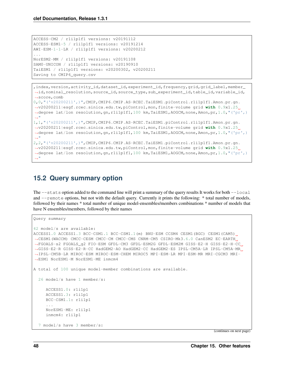```
ACCESS-CM2 / r1i1p1f1 versions: v20191112
ACCESS-ESM1-5 / r1i1p1f1 versions: v20191214
AWI-ESM-1-1-LR / r1i1p1f1 versions: v20200212
...
NorESM2-MM / r1i1p1f1 versions: v20191108
SAM0-UNICON / r1i1p1f1 versions: v20190910
TaiESM1 / r1i1p1f1 versions: v20200302, v20200211
Saving to CMIP6_query.csv
```

```
,index,version,activity_id,dataset_id,experiment_id,frequency,grid,grid_label,member_
˓→id,nominal_resolution,source_id,source_type,sub_experiment_id,table_id,variable_id,
˓→score,comb
0,0,"('v20200211',)",CMIP,CMIP6.CMIP.AS-RCEC.TaiESM1.piControl.r1i1p1f1.Amon.pr.gn.
˓→v20200211|esgf.rcec.sinica.edu.tw,piControl,mon,finite-volume grid with 0.9x1.25
˓→degree lat/lon resolution,gn,r1i1p1f1,100 km,TaiESM1,AOGCM,none,Amon,pr,1.0,"('pr',)
˓→"
1,1,"('v20200211',)",CMIP,CMIP6.CMIP.AS-RCEC.TaiESM1.piControl.r1i1p1f1.Amon.pr.gn.
˓→v20200211|esgf.rcec.sinica.edu.tw,piControl,mon,finite-volume grid with 0.9x1.25
˓→degree lat/lon resolution,gn,r1i1p1f1,100 km,TaiESM1,AOGCM,none,Amon,pr,1.0,"('pr',)
˓→"
2,2,"('v20200211',)",CMIP,CMIP6.CMIP.AS-RCEC.TaiESM1.piControl.r1i1p1f1.Amon.pr.gn.
˓→v20200211|esgf.rcec.sinica.edu.tw,piControl,mon,finite-volume grid with 0.9x1.25
˓→degree lat/lon resolution,gn,r1i1p1f1,100 km,TaiESM1,AOGCM,none,Amon,pr,1.0,"('pr',)
\hookrightarrow ^{\rm{u}}
```
### **15.2 Query summary option**

The  $-$ -stats option added to the command line will print a summary of the query results It works for both  $-$ local and  $--$ remote options, but not with the default query. Currently it prints the following: \* total number of models, followed by their names \* total number of unique model-ensembles/members combinations \* number of models that have N ensembles/members, followed by their names

```
Query summary
42 model/s are available:
ACCESS1.0 ACCESS1.3 BCC-CSM1.1 BCC-CSM1.1(m) BNU-ESM CCSM4 CESM1(BGC) CESM1(CAM5)
˓→CESM1(WACCM) CMCC-CESM CMCC-CM CMCC-CMS CNRM-CM5 CSIRO-Mk3.6.0 CanESM2 EC-EARTH
˓→FGOALS-s2 FGOALS_g2 FIO-ESM GFDL-CM3 GFDL-ESM2G GFDL-ESM2M GISS-E2-H GISS-E2-H-CC
˓→GISS-E2-R GISS-E2-R-CC HadGEM2-AO HadGEM2-CC HadGEM2-ES IPSL-CM5A-LR IPSL-CM5A-MR
˓→IPSL-CM5B-LR MIROC-ESM MIROC-ESM-CHEM MIROC5 MPI-ESM-LR MPI-ESM-MR MRI-CGCM3 MRI-
˓→ESM1 NorESM1-M NorESM1-ME inmcm4
A total of 100 unique model-member combinations are available.
 26 model/s have 1 member/s:
    ACCESS1.0: r1i1p1
    ACCESS1.3: r1i1p1
    BCC-CSM1.1: r1i1p1
     ...
    NorESM1-ME: r1i1p1
    inmcm4: r1i1p1
 7 model/s have 3 member/s:
```
(continues on next page)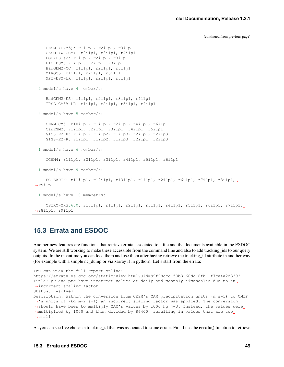(continued from previous page)

```
CESM1(CAM5): r1i1p1, r2i1p1, r3i1p1
    CESM1(WACCM): r2i1p1, r3i1p1, r4i1p1
    FGOALS-s2: r1i1p1, r2i1p1, r3i1p1
    FIO-ESM: r1i1p1, r2i1p1, r3i1p1
    HadGEM2-CC: r1i1p1, r2i1p1, r3i1p1
    MIROC5: r1i1p1, r2i1p1, r3i1p1
    MPI-ESM-LR: r1i1p1, r2i1p1, r3i1p1
 2 model/s have 4 member/s:
    HadGEM2-ES: r1i1p1, r2i1p1, r3i1p1, r4i1p1
    IPSL-CM5A-LR: r1i1p1, r2i1p1, r3i1p1, r4i1p1
 4 model/s have 5 member/s:
    CNRM-CM5: r10i1p1, r1i1p1, r2i1p1, r4i1p1, r6i1p1
    CanESM2: r1i1p1, r2i1p1, r3i1p1, r4i1p1, r5i1p1
    GISS-E2-H: r1i1p1, r1i1p2, r1i1p3, r2i1p1, r2i1p3
    GISS-E2-R: r1i1p1, r1i1p2, r1i1p3, r2i1p1, r2i1p3
 1 model/s have 6 member/s:
    CCSM4: r1i1p1, r2i1p1, r3i1p1, r4i1p1, r5i1p1, r6i1p1
 1 model/s have 9 member/s:
    EC-EARTH: r11i1p1, r12i1p1, r13i1p1, r1i1p1, r2i1p1, r6i1p1, r7i1p1, r8i1p1,
˓→r9i1p1
 1 model/s have 10 member/s:
    CSIRO-Mk3.6.0: r10i1p1, r1i1p1, r2i1p1, r3i1p1, r4i1p1, r5i1p1, r6i1p1, r7i1p1,
˓→r8i1p1, r9i1p1
```
### **15.3 Errata and ESDOC**

Another new features are functions that retrieve errata associated to a file and the documents available in the ESDOC system. We are still working to make these accessible from the command line and also to add tracking\_ids to our query outputs. In the meantime you can load them and use them after having retrieve the tracking\_id attribute in another way (for example with a simple nc\_dump or via xarray if in python). Let's start from the errata:

```
You can view the full report online:
https://errata.es-doc.org/static/view.html?uid=99f28ccc-53b3-68dc-8fb1-f7ca4a2d3393
Title: pr and prc have incorrect values at daily and monthly timescales due to an
˓→incorrect scaling factor
Status: resolved
Description: Within the conversion from CESM's CAM precipitation units (m s-1) to CMIP
˓→'s units of (kg m-2 s-1) an incorrect scaling factor was applied. The conversion
→should have been to multiply CAM's values by 1000 kg m-3. Instead, the values were
→multiplied by 1000 and then divided by 86400, resulting in values that are too
˓→small.
```
As you can see I've chosen a tracking id that was associated to some errata. First I use the **errata**() function to retrieve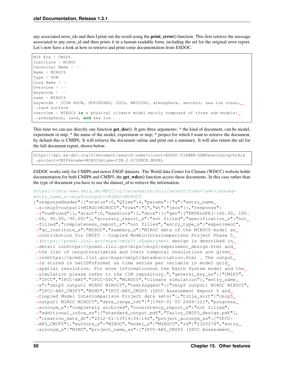any associated error ids and then I print out the result using the **print error**() function. This first retrieve the message associated to any error\_id and then prints it in a human readable form, including the url for the original error report. Let's now have a look at how to retrieve and print some documentation from ESDOC.

```
MIP Era > CMIP6
Institute > MIROC
Canonical Name > --
Name > MIROC6
Type > GCM
Long Name > --
Overview > --
Keywords > -name > MIROC6
keywords > CCSR-AGCM, SPRINTARS, COCO, MATSIRO, atmosphere, aerosol, sea-ice ocean,
˓→land surface
overview > MIROC6 is a physical climate model mainly composed of three sub-models:
˓→atmosphere, land, and sea ice....
```
This time we can use directly one function get\_doc(). It gets three arguments: \* the kind of document, can be model, experiment or mip; \* the name of the model, experiment or mip; \* project for which I want to retrieve the document, by default this is CMIP6. It will retrieve the document online and print out a summary. It will also return the url for the full document report, shown below.

https://api.es-doc.org/2/document/search-name?client=ESDOC-VIEWER-DEMO&encoding=html& ˓<sup>→</sup>project=CMIP6&name=MIROC6&type=CIM.2.SCIENCE.MODEL

ESDOC works only for CMIP6 and newer ESGF datasets. The World data Center for Climate (WDCC) website holds documentation for both CMIP6 and CMIP5, the **get wdcc**() function access these documents. In this case rather than the type of document you have to use the dataset\_id to retrieve the information.

[https://cera-www.dkrz.de/WDCC/ui/cerasearch/solr/select?rows=1&wt=json&q=](https://cera-www.dkrz.de/WDCC/ui/cerasearch/solr/select?rows=1&wt=json&q=entry_name_s:cmip5*output1*MIROC*MIROC5) [entry\\_name\\_s:cmip5\\*output1\\*MIROC\\*MIROC5](https://cera-www.dkrz.de/WDCC/ui/cerasearch/solr/select?rows=1&wt=json&q=entry_name_s:cmip5*output1*MIROC*MIROC5)

```
{"responseHeader":{"status":0,"QTime":4,"params":{"q":"entry_name_
˓→s:cmip5*output1*MIROC*MIROC5","rows":"1","wt":"json"}},"response":
˓→{"numFound":1,"start":0,"maxScore":1,"docs":[{"geo":["ENVELOPE(-180.00, 180.
˓→00, 90.00,-90.00)"],"accuracy_report_s":"not filled","specification_s":"not
˓→filled","completeness_report_s":"not filled","entry_type_s":"experiment",
˓→"qc_institute_s":"MIROC","summary_s":"MIROC data of the MIROC5 model as
˓→contribution for CMIP5 - Coupled ModelnIntercomparison Project Phase 5
˓→(https://pcmdi.llnl.gov/mips/cmip5).nExperiment design is described in
→detail innhttps://pcmdi.llnl.gov/mips/cmip5/experiment_design.html and
→the list of outputnvariables and their temporal resolutions are given,
→innhttps://pcmdi.llnl.gov/mips/cmip5/datadescription.html . The output
→is stored in netCDFnformat as time series per variable in model grid
→spatial resolution. For more informationnon the Earth System model and the
˓→simulation please refer to the CIM repository.","general_key_ss":["CMIP5",
˓→"IPCC","IPCC-AR5","IPCC-DDC","MIROC5","climate simulation"],"entry_name_
˓→s":"cmip5 output1 MIROC MIROC5","textSuggest":["cmip5 output1 MIROC MIROC5",
˓→"IPCC-AR5_CMIP5","MIM5","IPCC-AR5_CMIP5 (IPCC Assessment Report 5 and
→Coupled Model Intercomparison Project data sets)"], "title_sort": "cmip5
˓→output1 MIROC MIROC5","date_range_rdt":"[1960-01 TO 2669-12]","progress_
˓→acronym_s":"completely archived","consistency_report_s":"not filled",
˓→"additional_infos_ss":["standard_output.pdf","Taylor_CMIP5_design.pdf"],
˓→"creation_date_dt":"2012-01-13T14:54:16Z","project_acronym_ss":["IPCC-
˓→AR5_CMIP5"],"authors_s":"MIROC","model_s":"MIROC5","id":"2320274","entry_
˓→acronym_s":"MIM5","project_name_ss":["IPCC-AR5_CMIP5 (IPCC Assessment
```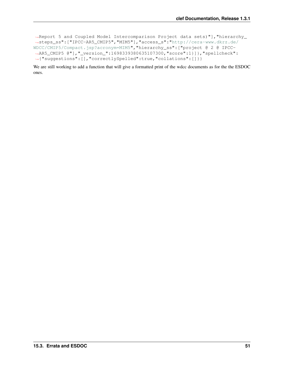```
˓→Report 5 and Coupled Model Intercomparison Project data sets)"],"hierarchy_
˓→steps_ss":["IPCC-AR5_CMIP5","MIM5"],"access_s":"http://cera-www.dkrz.de/
WDCC/CMIP5/Compact.jsp?acronym=MIM5","hierarchy_ss":["project @ 2 @ IPCC-
˓→AR5_CMIP5 @"],"_version_":1698339380635107300,"score":1}]},"spellcheck":
˓→{"suggestions":[],"correctlySpelled":true,"collations":[]}}
```
We are still working to add a function that will give a formatted print of the wdcc documents as for the the ESDOC ones.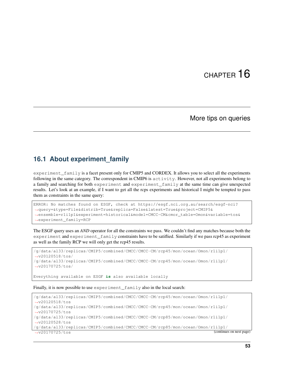### More tips on queries

#### **16.1 About experiment\_family**

experiment\_family is a facet present only for CMIP5 and CORDEX. It allows you to select all the experiments following in the same category. The correspondent in CMIP6 is activity. However, not all experiments belong to a family and searching for both experiment and experiment\_family at the same time can give unexpected results. Let's look at an example, if I want to get all the rcps experiments and historical I might be tempted to pass them as constraints in the same query:

```
ERROR: No matches found on ESGF, check at https://esgf.nci.org.au/search/esgf-nci?
˓→query=&type=File&distrib=True&replica=False&latest=True&project=CMIP5&
˓→ensemble=r1i1p1&experiment=historical&model=CMCC-CM&cmor_table=Omon&variable=tos&
˓→experiment_family=RCP
```
The ESGF query uses an *AND* operator for all the constraints we pass. We couldn't find any matches because both the experiment and experiment\_family constraints have to be satiflied. Similarly if we pass rcp45 as experiment as well as the family RCP we will only get the rcp45 results.

```
/g/data/al33/replicas/CMIP5/combined/CMCC/CMCC-CM/rcp45/mon/ocean/Omon/r1i1p1/
˓→v20120518/tos/
/g/data/al33/replicas/CMIP5/combined/CMCC/CMCC-CM/rcp45/mon/ocean/Omon/r1i1p1/
˓→v20170725/tos/
```
Everything available on ESGF **is** also available locally

Finally, it is now possible to use experiment\_family also in the local search:

```
/g/data/al33/replicas/CMIP5/combined/CMCC/CMCC-CM/rcp45/mon/ocean/Omon/r1i1p1/
˓→v20120518/tos
/g/data/al33/replicas/CMIP5/combined/CMCC/CMCC-CM/rcp45/mon/ocean/Omon/r1i1p1/
˓→v20170725/tos
/g/data/al33/replicas/CMIP5/combined/CMCC/CMCC-CM/rcp85/mon/ocean/Omon/r1i1p1/
˓→v20120528/tos
/g/data/al33/replicas/CMIP5/combined/CMCC/CMCC-CM/rcp85/mon/ocean/Omon/r1i1p1/
 ˓→v20170725/tos (continues on next page)
```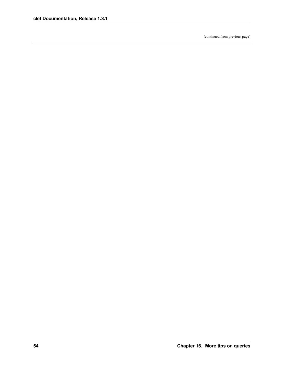$\Box$ 

(continued from previous page)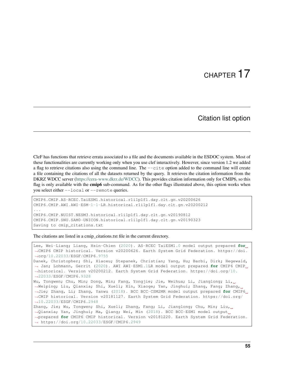#### Citation list option

CleF has functions that retrieve errata associated to a file and the documents available in the ESDOC system. Most of these functionalities are currently working only when you use clef interactively. However, since version 1.2 we added a flag to retrieve citations also using the command line. The  $--$ cite option added to the command line will create a file containing the citations of all the datasets returned by the query. It retrieves the citation information from the DKRZ WDCC server [\(https://cera-www.dkrz.de/WDCC\)](https://cera-www.dkrz.de/WDCC). This provides citation information only for CMIP6, so this flag is only available with the **cmip6** sub-command. As for the other flags illustrated above, this option works when you select either --local or --remote queries.

```
CMIP6.CMIP.AS-RCEC.TaiESM1.historical.r1i1p1f1.day.clt.gn.v20200626
CMIP6.CMIP.AWI.AWI-ESM-1-1-LR.historical.r1i1p1f1.day.clt.gn.v20200212
...
CMIP6.CMIP.NUIST.NESM3.historical.r1i1p1f1.day.clt.gn.v20190812
CMIP6.CMIP.SNU.SAM0-UNICON.historical.r1i1p1f1.day.clt.gn.v20190323
Saving to cmip citations.txt
```
The citations are listed in a cmip\_citations.txt file in the current directory.

```
Lee, Wei-Liang; Liang, Hsin-Chien (2020). AS-RCEC TaiESM1.0 model output prepared for
˓→CMIP6 CMIP historical. Version v20200626. Earth System Grid Federation. https://doi.
˓→org/10.22033/ESGF/CMIP6.9755
Danek, Christopher; Shi, Xiaoxu; Stepanek, Christian; Yang, Hu; Barbi, Dirk; Hegewald,
˓→ Jan; Lohmann, Gerrit (2020). AWI AWI-ESM1.1LR model output prepared for CMIP6 CMIP
˓→historical. Version v20200212. Earth System Grid Federation. https://doi.org/10.
˓→22033/ESGF/CMIP6.9328
Wu, Tongwen; Chu, Min; Dong, Min; Fang, Yongjie; Jie, Weihua; Li, Jianglong; Li,
→Weiping; Liu, Qianxia; Shi, Xueli; Xin, Xiaoge; Yan, Jinghui; Zhang, Fang; Zhang, L
˓→Jie; Zhang, Li; Zhang, Yanwu (2018). BCC BCC-CSM2MR model output prepared for CMIP6
˓→CMIP historical. Version v20181127. Earth System Grid Federation. https://doi.org/
˓→10.22033/ESGF/CMIP6.2948
Zhang, Jie; Wu, Tongwen; Shi, Xueli; Zhang, Fang; Li, Jianglong; Chu, Min; Liu,
˓→Qianxia; Yan, Jinghui; Ma, Qiang; Wei, Min (2018). BCC BCC-ESM1 model output
˓→prepared for CMIP6 CMIP historical. Version v20181220. Earth System Grid Federation.
˓→ https://doi.org/10.22033/ESGF/CMIP6.2949
```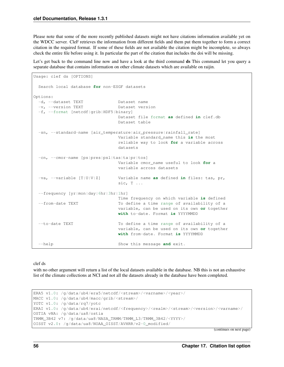Please note that some of the more recently published datasets might not have citations information available yet on the WDCC server. CleF retrieves the information from different fields and them put them together to form a correct citation in the required format. If some of these fields are not available the citation might be incomplete, so always check the entire file before using it. In particular the part of the citation that includes the doi will be missing.

Let's get back to the command line now and have a look at the third command ds This command let you query a separate database that contains information on other climate datasets which are available on raijin.

```
Usage: clef ds [OPTIONS]
 Search local database for non-ESGF datasets
Options:
 -d, --dataset TEXT Dataset name
 -v, --version TEXT Dataset version
 -f, --format [netcdf|grib|HDF5|binary]
                               Dataset file format as defined in clef.db
                               Dataset table
 -sn, --standard-name [air_temperature|air_pressure|rainfall_rate]
                               Variable standard_name this is the most
                               reliable way to look for a variable across
                               datasets
 -cn, --cmor-name [ps|pres|psl|tas|ta|pr|tos]
                               Variable cmor_name useful to look for a
                               variable across datasets
 -va, --variable [T|U|V|Z] Variable name as defined in files: tas, pr,
                               sic, T \ldots--frequency [yr|mon|day|6hr|3hr|1hr]
                               Time frequency on which variable is defined
  --from-date TEXT To define a time range of availability of a
                               variable, can be used on its own or together
                               with to-date. Format is YYYYMMDD
  --to-date TEXT To define a time range of availability of a
                               variable, can be used on its own or together
                               with from-date. Format is YYYYMMDD
  -help Show this message and exit.
```
clef ds

with no other argument will return a list of the local datasets available in the database. NB this is not an exhaustive list of the climate collections at NCI and not all the datasets already in the database have been completed.

```
ERA5 v1.0: /g/data/ub4/era5/netcdf/<stream>/<varname>/<year>/
MACC v1.0: /g/data/ub4/macc/grib/<stream>/
YOTC v1.0: /g/data/rq7/yotc
ERAI v1.0: /q/data/ub4/erai/netcdf/<frequency>/<realm>/<stream>/<version>/<varname>/
OSTIA vNA: /g/data/ua8/ostia
TRMM_3B42 v7: /g/data/ua8/NASA_TRMM/TRMM_L3/TRMM_3B42/<YYYY>/
OISST v2.0: /g/data/ua8/NOAA_OISST/AVHRR/v2-0_modified/
```
(continues on next page)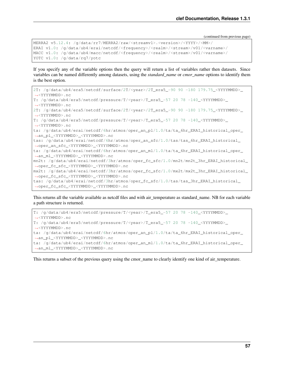(continued from previous page)

```
MERRA2 v5.12.4: /g/data/rr7/MERRA2/raw/<streamv1>.<version>/<YYYY>/<MM>/
ERAI v1.0: /q/data/ub4/erai/netcdf/<frequency>/<realm>/<stream>/v01/<varname>/
MACC v1.0: /g/data/ub4/macc/netcdf/<frequency>/<realm>/<stream>/v01/<varname>/
YOTC v1.0: /g/data/rq7/yotc
```
If you specify any of the variable options then the query will return a list of variables rather then datasets. Since variables can be named differently among datasets, using the *standard\_name* or *cmor\_name* options to identify them is the best option.

```
2T: /g/data/ub4/era5/netcdf/surface/2T/<year>/2T_era5_-90 90 -180 179.75_<YYYYMMDD>_
˓→<YYYYMMDD>.nc
T: /g/data/ub4/era5/netcdf/pressure/T/<year>/T_era5_-57 20 78 -140_<YYYYMMDD>_
˓→<YYYYMMDD>.nc
2T: /g/data/ub4/era5/netcdf/surface/2T/<year>/2T_era5_-90 90 -180 179.75_<YYYYMMDD>_
˓→<YYYYMMDD>.nc
T: /g/data/ub4/era5/netcdf/pressure/T/<year>/T_era5_-57 20 78 -140_<YYYYMMDD>_
˓→<YYYYMMDD>.nc
ta: /g/data/ub4/erai/netcdf/6hr/atmos/oper_an_pl/1.0/ta/ta_6hr_ERAI_historical_oper_
˓→an_pl_<YYYYMMDD>_<YYYYMMDD>.nc
tas: /g/data/ub4/erai/netcdf/6hr/atmos/oper_an_sfc/1.0/tas/tas_6hr_ERAI_historical_
˓→oper_an_sfc_<YYYYMMDD>_<YYYYMMDD>.nc
ta: /g/data/ub4/erai/netcdf/6hr/atmos/oper_an_ml/1.0/ta/ta_6hr_ERAI_historical_oper_
˓→an_ml_<YYYYMMDD>_<YYYYMMDD>.nc
mn2t: /g/data/ub4/erai/netcdf/3hr/atmos/oper_fc_sfc/1.0/mn2t/mn2t_3hr_ERAI_historical_
˓→oper_fc_sfc_<YYYYMMDD>_<YYYYMMDD>.nc
mx2t: /g/data/ub4/erai/netcdf/3hr/atmos/oper_fc_sfc/1.0/mx2t/mx2t_3hr_ERAI_historical_
˓→oper_fc_sfc_<YYYYMMDD>_<YYYYMMDD>.nc
tas: /g/data/ub4/erai/netcdf/3hr/atmos/oper_fc_sfc/1.0/tas/tas_3hr_ERAI_historical_
˓→oper_fc_sfc_<YYYYMMDD>_<YYYYMMDD>.nc
```
This returns all the variable available as netcdf files and with air\_temperature as standard\_name. NB for each variable a path structure is returned.

```
T: /g/data/ub4/era5/netcdf/pressure/T/<year>/T_era5_-57 20 78 -140_<YYYYMMDD>_
˓→<YYYYMMDD>.nc
T: /g/data/ub4/era5/netcdf/pressure/T/<year>/T_era5_-57 20 78 -140 <YYYYMMDD>
˓→<YYYYMMDD>.nc
ta: /g/data/ub4/erai/netcdf/6hr/atmos/oper_an_pl/1.0/ta/ta_6hr_ERAI_historical_oper_
˓→an_pl_<YYYYMMDD>_<YYYYMMDD>.nc
ta: /g/data/ub4/erai/netcdf/6hr/atmos/oper_an_ml/1.0/ta/ta_6hr_ERAI_historical_oper_
˓→an_ml_<YYYYMMDD>_<YYYYMMDD>.nc
```
This returns a subset of the previous query using the cmor name to clearly identify one kind of air temperature.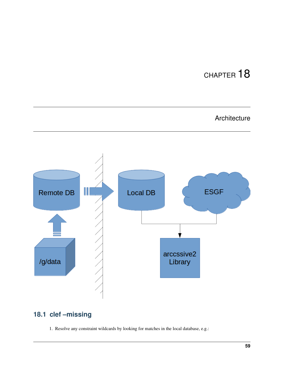## Architecture



## **18.1 clef –missing**

1. Resolve any constraint wildcards by looking for matches in the local database, e.g.: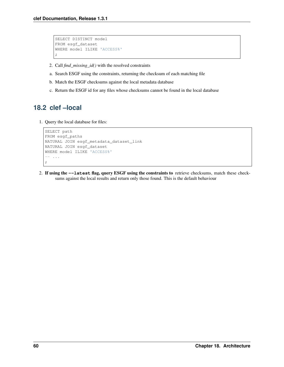```
SELECT DISTINCT model
FROM esgf_dataset
WHERE model ILIKE 'ACCESS%'
;
```
- 2. Call *find\_missing\_id()* with the resolved constraints
- a. Search ESGF using the constraints, returning the checksum of each matching file
- b. Match the ESGF checksums against the local metadata database
- c. Return the ESGF id for any files whose checksums cannot be found in the local database

### **18.2 clef –local**

1. Query the local database for files:

```
SELECT path
FROM esgf_paths
NATURAL JOIN esgf_metadata_dataset_link
NATURAL JOIN esgf_dataset
WHERE model ILIKE 'ACCESS%'
-- ...
;
```
2. If using the **--latest** flag, query ESGF using the constraints to retrieve checksums, match these checksums against the local results and return only those found. This is the default behaviour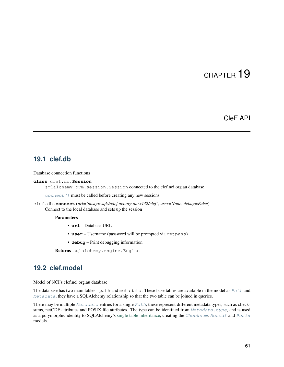### CleF API

#### <span id="page-64-1"></span>**19.1 clef.db**

Database connection functions

```
class clef.db.Session
```
sqlalchemy.orm.session.Session connected to the clef.nci.org.au database

 $connect()$  must be called before creating any new sessions

```
clef.db.connect(url='postgresql://clef.nci.org.au:5432/clef ', user=None, debug=False)
     Connect to the local database and sets up the session
```
Parameters

- **url** Database URL
- **user** Username (password will be prompted via getpass)
- **debug** Print debugging information

Returns sqlalchemy.engine.Engine

### <span id="page-64-2"></span>**19.2 clef.model**

Model of NCI's clef.nci.org.au database

The database has two main tables - path and metadata. These base tables are available in the model as  $Path$  and  $Metadata$ , they have a SQLAlchemy relationship so that the two table can be joined in queries.

There may be multiple  $Metadata$  entries for a single  $Path$ , these represent different metadata types, such as checksums, netCDF attributes and POSIX file attributes. The type can be identified from  $Metada$ .type, and is used as a polymorphic identity to SQLAlchemy's [single table inheritance,](https://docs.sqlalchemy.org/en/latest/orm/inheritance.html#relationships-with-single-table-inheritance) creating the [Checksum](#page-65-0), [Netcdf](#page-66-3) and [Posix](#page-67-0) models.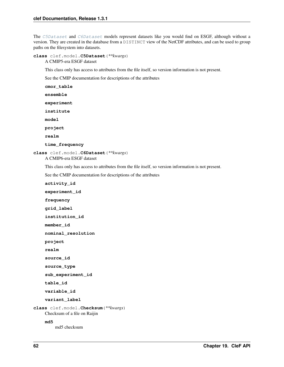The [C5Dataset](#page-65-1) and [C6Dataset](#page-65-2) models represent datasets like you would find on ESGF, although without a version. They are created in the database from a DISTINCT view of the NetCDF attributes, and can be used to group paths on the filesystem into datasets.

```
class clef.model.C5Dataset(**kwargs)
```
A CMIP5-era ESGF dataset

This class only has access to attributes from the file itself, so version information is not present.

See the CMIP documentation for descriptions of the attributes

**cmor\_table**

**ensemble**

```
experiment
```
**institute**

**model**

**project**

**realm**

```
time_frequency
```
<span id="page-65-2"></span>**class** clef.model.**C6Dataset**(*\*\*kwargs*)

A CMIP6-era ESGF dataset

This class only has access to attributes from the file itself, so version information is not present.

See the CMIP documentation for descriptions of the attributes

```
activity_id
    experiment_id
    frequency
    grid_label
    institution_id
    member_id
    nominal_resolution
    project
    realm
    source_id
    source_type
    sub_experiment_id
    table_id
    variable_id
    variant_label
class clef.model.Checksum(**kwargs)
    Checksum of a file on Raijin
    md5
        md5 checksum
```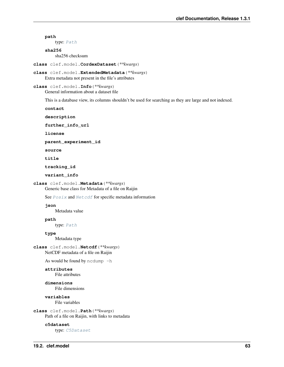#### type: [Path](#page-66-0) **sha256** sha256 checksum **class** clef.model.**CordexDataset**(*\*\*kwargs*) **class** clef.model.**ExtendedMetadata**(*\*\*kwargs*) Extra metadata not present in the file's attributes **class** clef.model.**Info**(*\*\*kwargs*)

General information about a dataset file

This is a database view, its columns shouldn't be used for searching as they are large and not indexed.

**contact**

**path**

**description**

**further\_info\_url**

**license**

**parent\_experiment\_id**

**source**

**title**

**tracking\_id**

**variant\_info**

<span id="page-66-1"></span>**class** clef.model.**Metadata**(*\*\*kwargs*)

Generic base class for Metadata of a file on Raijin

See  $Possix$  and  $Netcdf$  for specific metadata information

#### **json**

Metadata value

**path**

type: [Path](#page-66-0)

#### <span id="page-66-2"></span>**type**

Metadata type

<span id="page-66-3"></span>**class** clef.model.**Netcdf**(*\*\*kwargs*) NetCDF metadata of a file on Raijin

As would be found by  $n$ cdump  $-h$ 

#### **attributes**

File attributes

**dimensions** File dimensions

**variables**

File variables

#### <span id="page-66-0"></span>**class** clef.model.**Path**(*\*\*kwargs*) Path of a file on Raijin, with links to metadata

**c5dataset**

type: [C5Dataset](#page-65-1)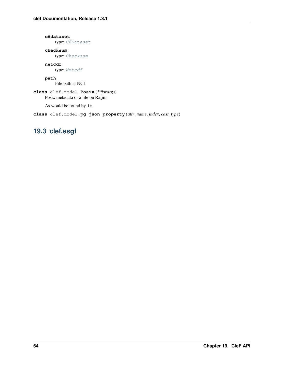#### **c6dataset**

type: [C6Dataset](#page-65-2)

#### **checksum**

type: [Checksum](#page-65-0)

#### **netcdf**

type: [Netcdf](#page-66-3)

#### **path**

File path at NCI

#### <span id="page-67-0"></span>**class** clef.model.**Posix**(*\*\*kwargs*) Posix metadata of a file on Raijin

As would be found by ls

**class** clef.model.**pg\_json\_property**(*attr\_name*, *index*, *cast\_type*)

## **19.3 clef.esgf**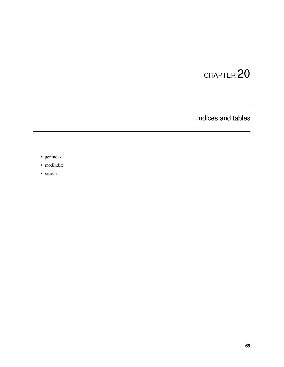Indices and tables

- genindex
- modindex
- search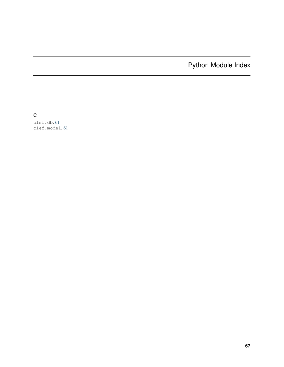Python Module Index

c

clef.db, [61](#page-64-1) clef.model, [61](#page-64-2)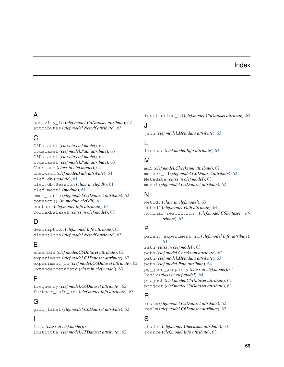#### Index

# A

activity\_id (*clef.model.C6Dataset attribute*), [62](#page-65-0) attributes (*clef.model.Netcdf attribute*), [63](#page-66-0)

# C

C5Dataset (*class in clef.model*), [62](#page-65-0) c5dataset (*clef.model.Path attribute*), [63](#page-66-0) C6Dataset (*class in clef.model*), [62](#page-65-0) c6dataset (*clef.model.Path attribute*), [63](#page-66-0) Checksum (*class in clef.model*), [62](#page-65-0) checksum (*clef.model.Path attribute*), [64](#page-67-0) clef.db (*module*), [61](#page-64-0) clef.db.Session (*class in clef.db*), [61](#page-64-0) clef.model (*module*), [61](#page-64-0) cmor\_table (*clef.model.C5Dataset attribute*), [62](#page-65-0) connect() (*in module clef.db*), [61](#page-64-0) contact (*clef.model.Info attribute*), [63](#page-66-0) CordexDataset (*class in clef.model*), [63](#page-66-0)

# D

description (*clef.model.Info attribute*), [63](#page-66-0) dimensions (*clef.model.Netcdf attribute*), [63](#page-66-0)

## E

ensemble (*clef.model.C5Dataset attribute*), [62](#page-65-0) experiment (*clef.model.C5Dataset attribute*), [62](#page-65-0) experiment\_id (*clef.model.C6Dataset attribute*), [62](#page-65-0) ExtendedMetadata (*class in clef.model*), [63](#page-66-0)

## F

frequency (*clef.model.C6Dataset attribute*), [62](#page-65-0) further\_info\_url (*clef.model.Info attribute*), [63](#page-66-0)

# G

grid\_label (*clef.model.C6Dataset attribute*), [62](#page-65-0)

### I

Info (*class in clef.model*), [63](#page-66-0) institute (*clef.model.C5Dataset attribute*), [62](#page-65-0) institution\_id (*clef.model.C6Dataset attribute*), [62](#page-65-0)

### J

json (*clef.model.Metadata attribute*), [63](#page-66-0)

#### L

license (*clef.model.Info attribute*), [63](#page-66-0)

#### M

md5 (*clef.model.Checksum attribute*), [62](#page-65-0) member\_id (*clef.model.C6Dataset attribute*), [62](#page-65-0) Metadata (*class in clef.model*), [63](#page-66-0) model (*clef.model.C5Dataset attribute*), [62](#page-65-0)

#### N

Netcdf (*class in clef.model*), [63](#page-66-0) netcdf (*clef.model.Path attribute*), [64](#page-67-0) nominal\_resolution (*clef.model.C6Dataset attribute*), [62](#page-65-0)

#### P

parent\_experiment\_id (*clef.model.Info attribute*), [63](#page-66-0) Path (*class in clef.model*), [63](#page-66-0) path (*clef.model.Checksum attribute*), [62](#page-65-0) path (*clef.model.Metadata attribute*), [63](#page-66-0) path (*clef.model.Path attribute*), [64](#page-67-0) pg\_json\_property (*class in clef.model*), [64](#page-67-0) Posix (*class in clef.model*), [64](#page-67-0) project (*clef.model.C5Dataset attribute*), [62](#page-65-0) project (*clef.model.C6Dataset attribute*), [62](#page-65-0)

### R

realm (*clef.model.C5Dataset attribute*), [62](#page-65-0) realm (*clef.model.C6Dataset attribute*), [62](#page-65-0)

#### S

sha256 (*clef.model.Checksum attribute*), [63](#page-66-0) source (*clef.model.Info attribute*), [63](#page-66-0)